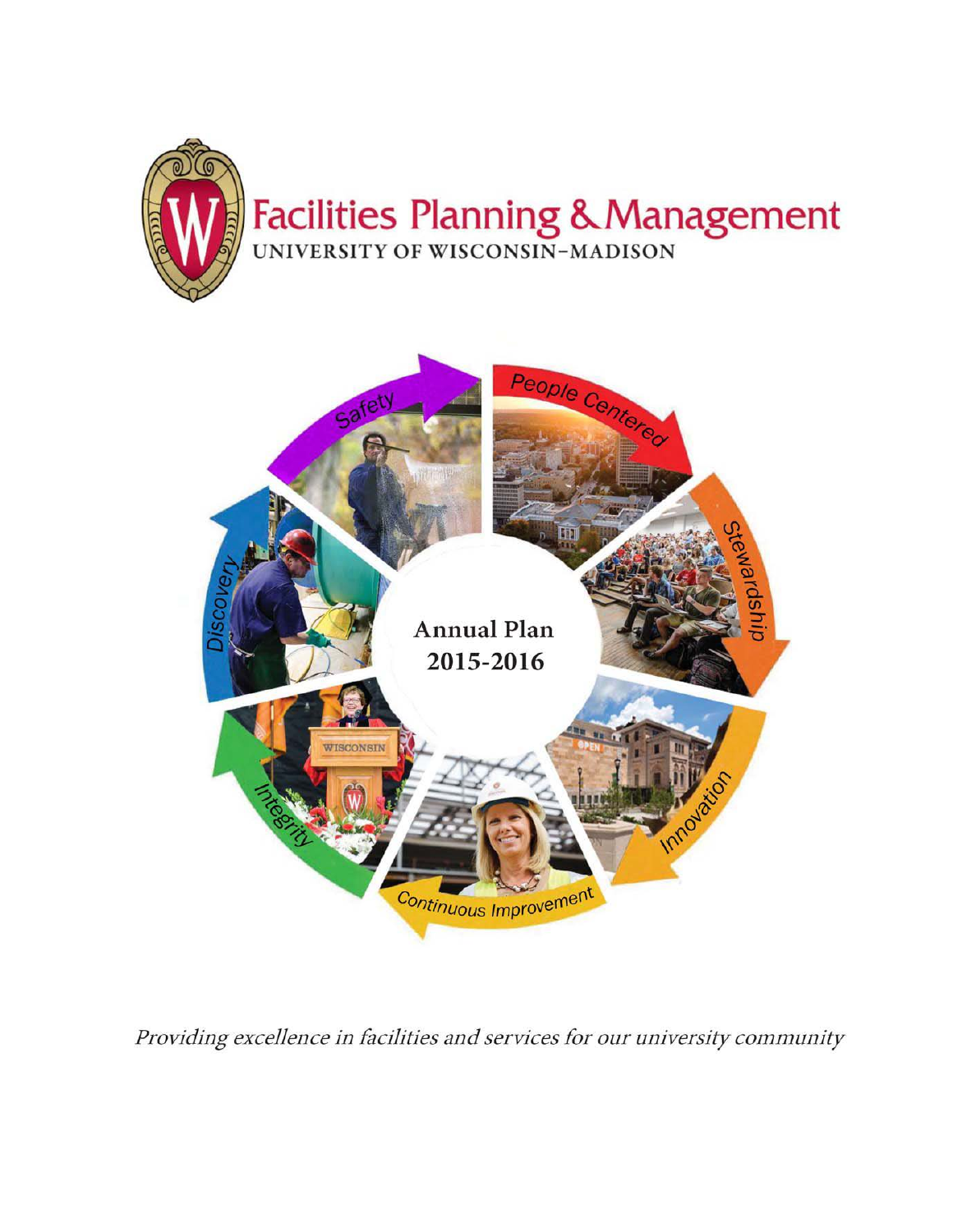



Providing excellence in facilities and services for our university community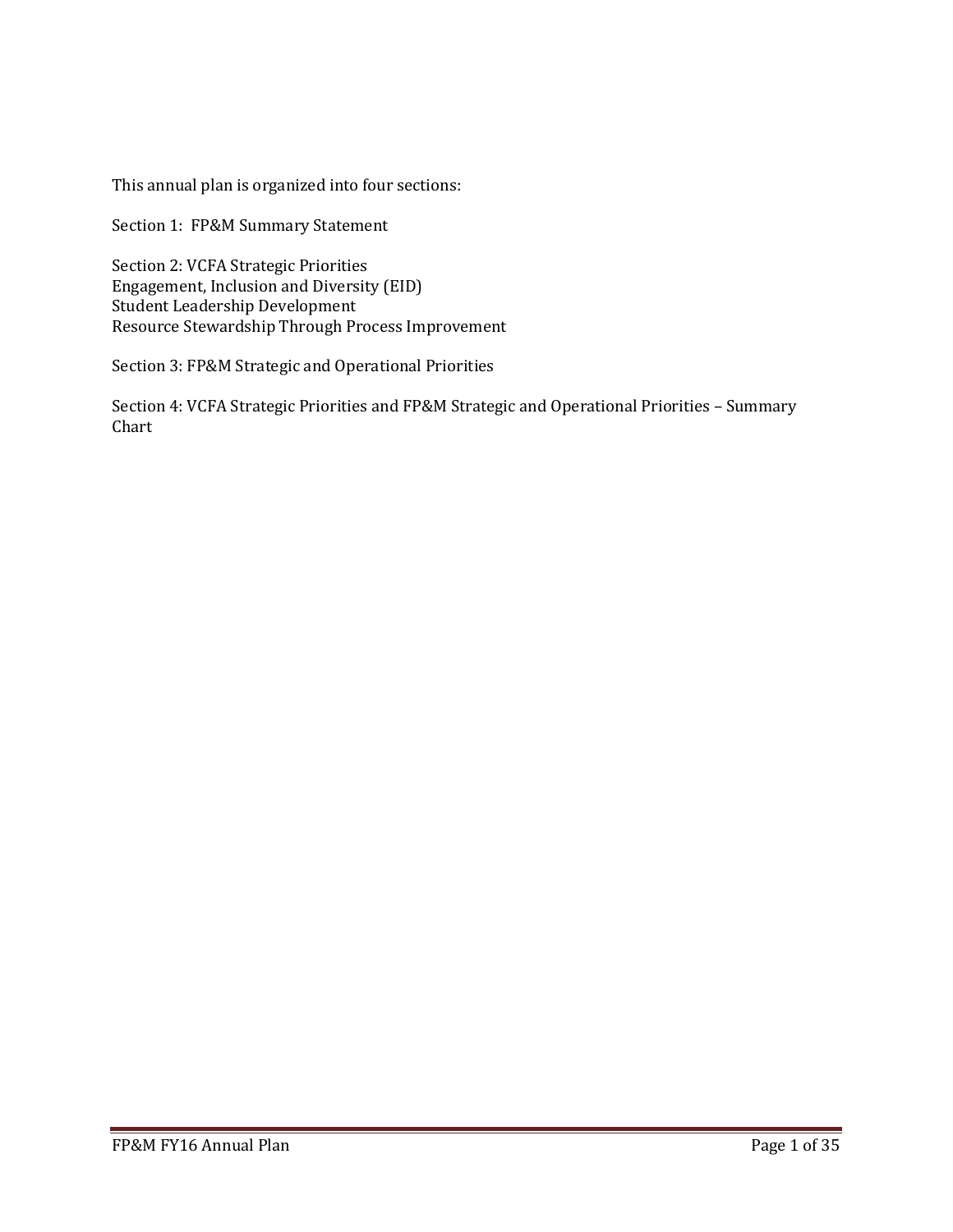This annual plan is organized into four sections:

Section 1: FP&M Summary Statement

Section 2: VCFA Strategic Priorities Engagement, Inclusion and Diversity (EID) Student Leadership Development Resource Stewardship Through Process Improvement

Section 3: FP&M Strategic and Operational Priorities

Section 4: VCFA Strategic Priorities and FP&M Strategic and Operational Priorities – Summary Chart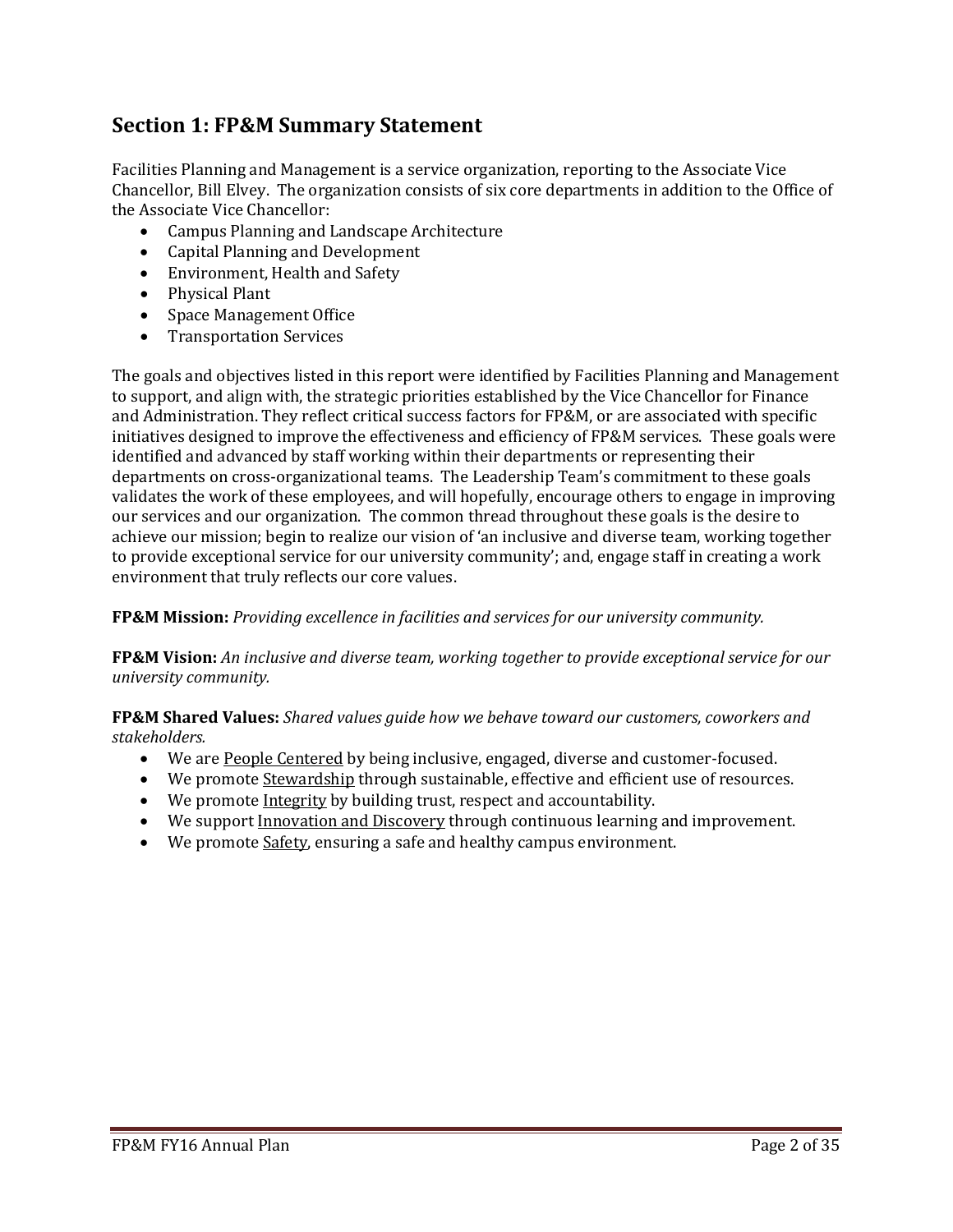# **Section 1: FP&M Summary Statement**

Facilities Planning and Management is a service organization, reporting to the Associate Vice Chancellor, Bill Elvey. The organization consists of six core departments in addition to the Office of the Associate Vice Chancellor:

- Campus Planning and Landscape Architecture
- Capital Planning and Development
- Environment, Health and Safety
- Physical Plant
- Space Management Office
- Transportation Services

The goals and objectives listed in this report were identified by Facilities Planning and Management to support, and align with, the strategic priorities established by the Vice Chancellor for Finance and Administration. They reflect critical success factors for FP&M, or are associated with specific initiatives designed to improve the effectiveness and efficiency of FP&M services. These goals were identified and advanced by staff working within their departments or representing their departments on cross-organizational teams. The Leadership Team's commitment to these goals validates the work of these employees, and will hopefully, encourage others to engage in improving our services and our organization. The common thread throughout these goals is the desire to achieve our mission; begin to realize our vision of 'an inclusive and diverse team, working together to provide exceptional service for our university community'; and, engage staff in creating a work environment that truly reflects our core values.

**FP&M Mission:** *Providing excellence in facilities and services for our university community.*

**FP&M Vision:** *An inclusive and diverse team, working together to provide exceptional service for our university community.*

**FP&M Shared Values:** *Shared values guide how we behave toward our customers, coworkers and stakeholders.*

- We are People Centered by being inclusive, engaged, diverse and customer-focused.
- We promote Stewardship through sustainable, effective and efficient use of resources.
- We promote Integrity by building trust, respect and accountability.
- We support Innovation and Discovery through continuous learning and improvement.
- We promote Safety, ensuring a safe and healthy campus environment.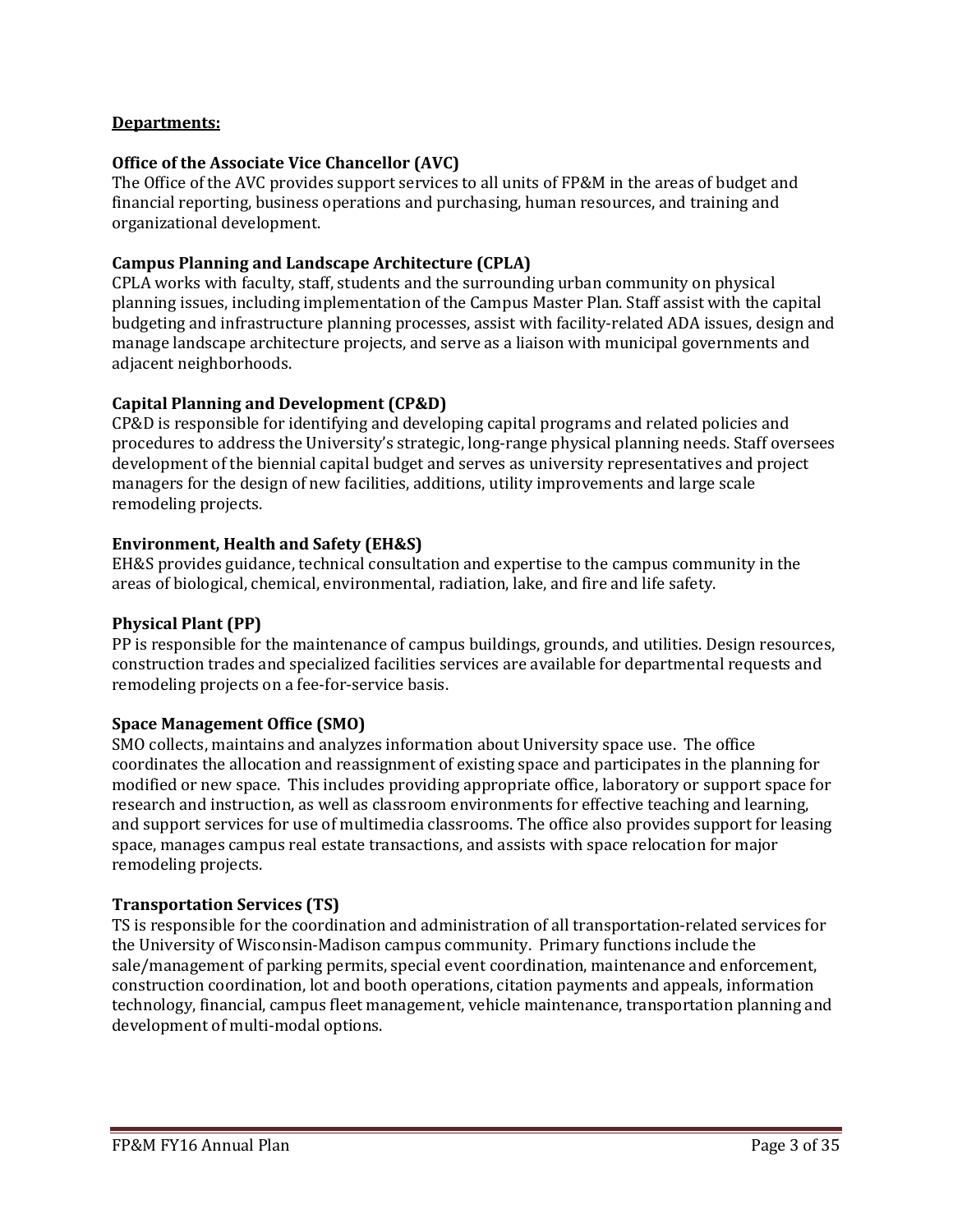#### **Departments:**

#### **Office of the Associate Vice Chancellor (AVC)**

The Office of the AVC provides support services to all units of FP&M in the areas of budget and financial reporting, business operations and purchasing, human resources, and training and organizational development.

#### **Campus Planning and Landscape Architecture (CPLA)**

CPLA works with faculty, staff, students and the surrounding urban community on physical planning issues, including implementation of the Campus Master Plan. Staff assist with the capital budgeting and infrastructure planning processes, assist with facility-related ADA issues, design and manage landscape architecture projects, and serve as a liaison with municipal governments and adjacent neighborhoods.

#### **Capital Planning and Development (CP&D)**

CP&D is responsible for identifying and developing capital programs and related policies and procedures to address the University's strategic, long-range physical planning needs. Staff oversees development of the biennial capital budget and serves as university representatives and project managers for the design of new facilities, additions, utility improvements and large scale remodeling projects.

#### **Environment, Health and Safety (EH&S)**

EH&S provides guidance, technical consultation and expertise to the campus community in the areas of biological, chemical, environmental, radiation, lake, and fire and life safety.

#### **Physical Plant (PP)**

PP is responsible for the maintenance of campus buildings, grounds, and utilities. Design resources, construction trades and specialized facilities services are available for departmental requests and remodeling projects on a fee-for-service basis.

#### **Space Management Office (SMO)**

SMO collects, maintains and analyzes information about University space use. The office coordinates the allocation and reassignment of existing space and participates in the planning for modified or new space. This includes providing appropriate office, laboratory or support space for research and instruction, as well as classroom environments for effective teaching and learning, and support services for use of multimedia classrooms. The office also provides support for leasing space, manages campus real estate transactions, and assists with space relocation for major remodeling projects.

#### **Transportation Services (TS)**

TS is responsible for the coordination and administration of all transportation-related services for the University of Wisconsin-Madison campus community. Primary functions include the sale/management of parking permits, special event coordination, maintenance and enforcement, construction coordination, lot and booth operations, citation payments and appeals, information technology, financial, campus fleet management, vehicle maintenance, transportation planning and development of multi-modal options.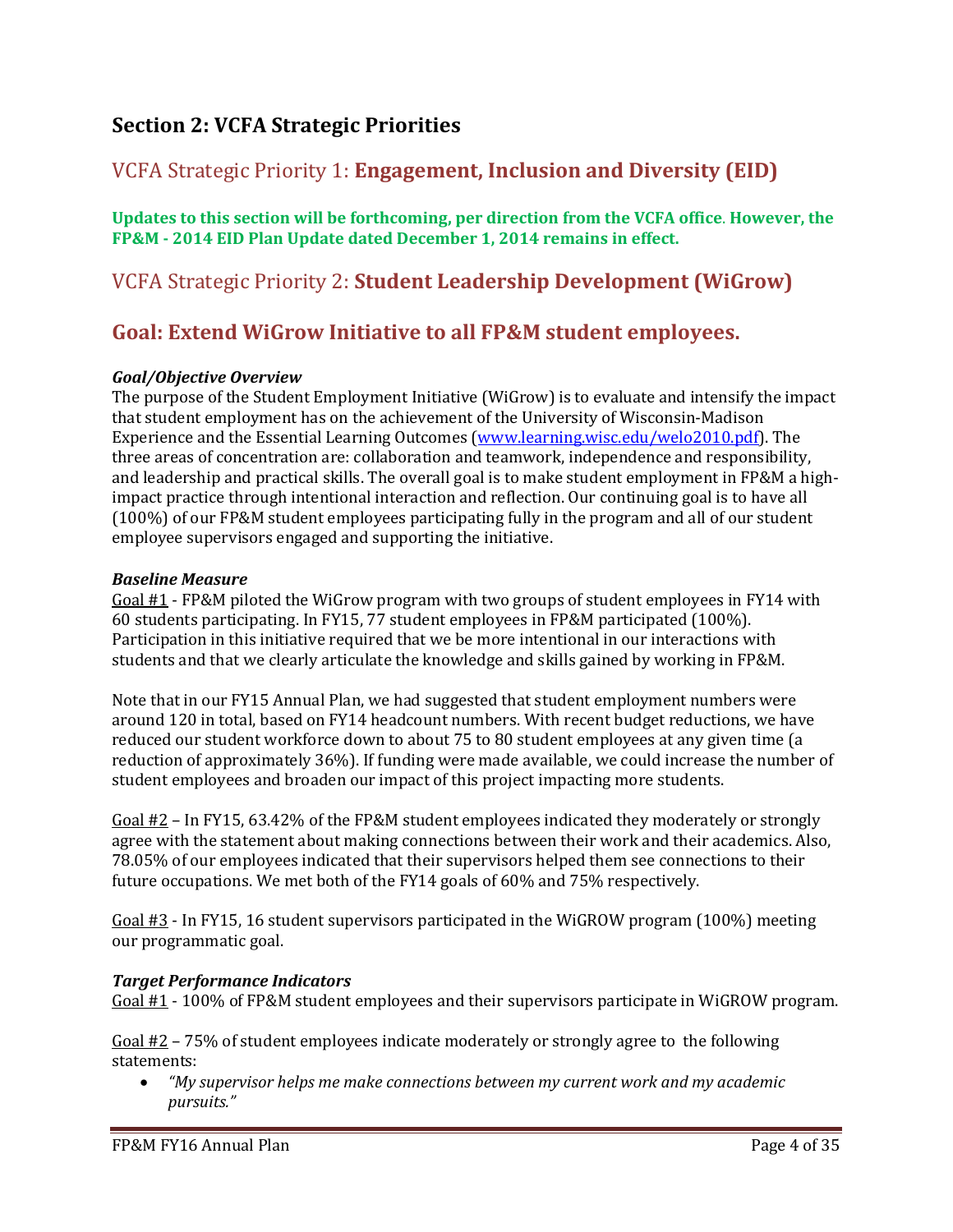# **Section 2: VCFA Strategic Priorities**

# VCFA Strategic Priority 1: **Engagement, Inclusion and Diversity (EID)**

**Updates to this section will be forthcoming, per direction from the VCFA office**. **However, the FP&M - 2014 EID Plan Update dated December 1, 2014 remains in effect.**

# VCFA Strategic Priority 2: **Student Leadership Development (WiGrow)**

# **Goal: Extend WiGrow Initiative to all FP&M student employees.**

### *Goal/Objective Overview*

The purpose of the Student Employment Initiative (WiGrow) is to evaluate and intensify the impact that student employment has on the achievement of the University of Wisconsin-Madison Experience and the Essential Learning Outcomes (www.learning.wisc.edu/welo2010.pdf). The three areas of concentration are: collaboration and teamwork, independence and responsibility, and leadership and practical skills. The overall goal is to make student employment in FP&M a highimpact practice through intentional interaction and reflection. Our continuing goal is to have all (100%) of our FP&M student employees participating fully in the program and all of our student employee supervisors engaged and supporting the initiative.

#### *Baseline Measure*

Goal #1 - FP&M piloted the WiGrow program with two groups of student employees in FY14 with 60 students participating. In FY15, 77 student employees in FP&M participated (100%). Participation in this initiative required that we be more intentional in our interactions with students and that we clearly articulate the knowledge and skills gained by working in FP&M.

Note that in our FY15 Annual Plan, we had suggested that student employment numbers were around 120 in total, based on FY14 headcount numbers. With recent budget reductions, we have reduced our student workforce down to about 75 to 80 student employees at any given time (a reduction of approximately 36%). If funding were made available, we could increase the number of student employees and broaden our impact of this project impacting more students.

Goal #2 – In FY15, 63.42% of the FP&M student employees indicated they moderately or strongly agree with the statement about making connections between their work and their academics. Also, 78.05% of our employees indicated that their supervisors helped them see connections to their future occupations. We met both of the FY14 goals of 60% and 75% respectively.

Goal #3 - In FY15, 16 student supervisors participated in the WiGROW program (100%) meeting our programmatic goal.

### *Target Performance Indicators*

Goal #1 - 100% of FP&M student employees and their supervisors participate in WiGROW program.

Goal  $#2 - 75%$  of student employees indicate moderately or strongly agree to the following statements:

• *"My supervisor helps me make connections between my current work and my academic pursuits."*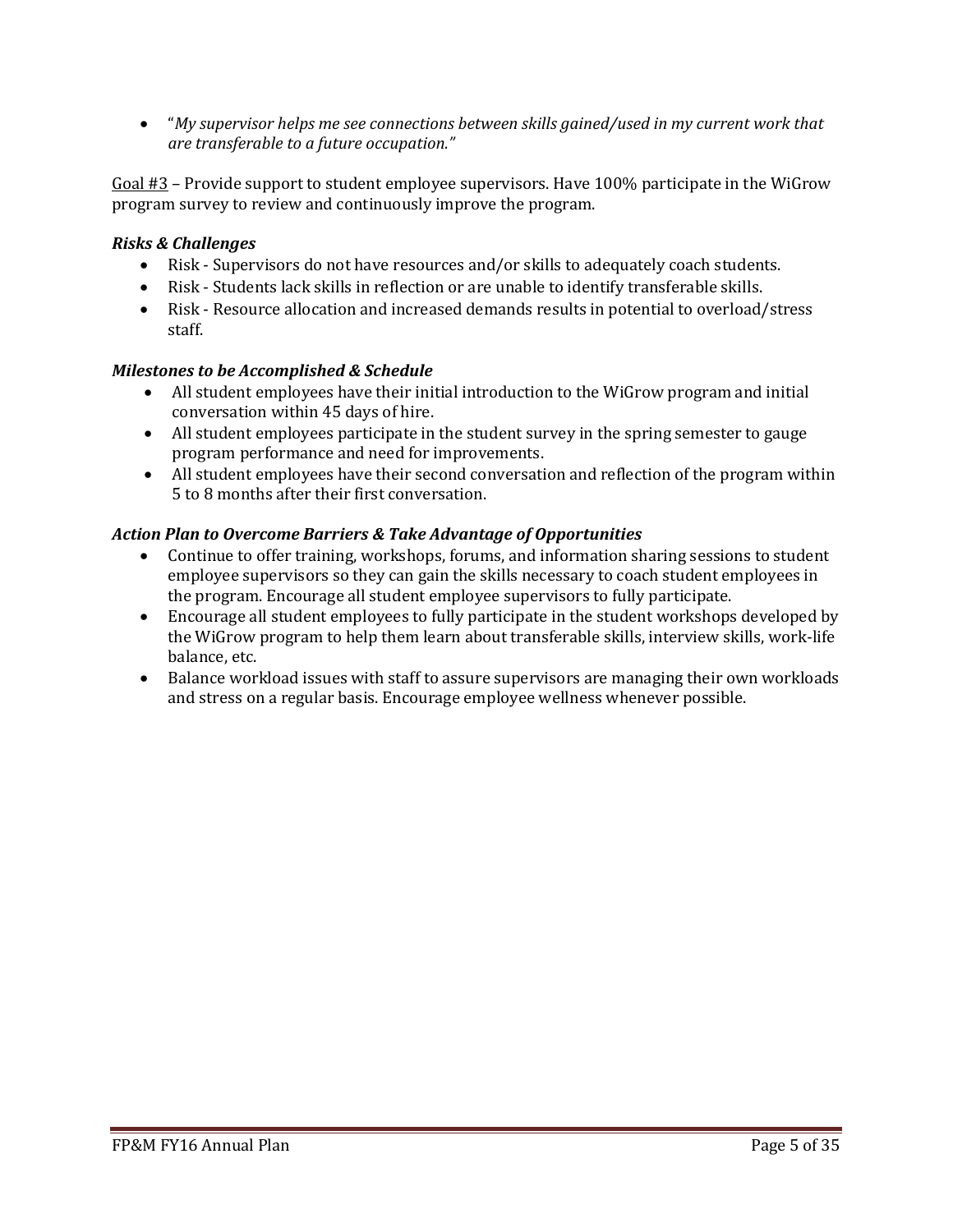• "*My supervisor helps me see connections between skills gained/used in my current work that are transferable to a future occupation."*

Goal #3 – Provide support to student employee supervisors. Have 100% participate in the WiGrow program survey to review and continuously improve the program.

## *Risks & Challenges*

- Risk Supervisors do not have resources and/or skills to adequately coach students.
- Risk Students lack skills in reflection or are unable to identify transferable skills.
- Risk Resource allocation and increased demands results in potential to overload/stress staff.

### *Milestones to be Accomplished & Schedule*

- All student employees have their initial introduction to the WiGrow program and initial conversation within 45 days of hire.
- All student employees participate in the student survey in the spring semester to gauge program performance and need for improvements.
- All student employees have their second conversation and reflection of the program within 5 to 8 months after their first conversation.

### *Action Plan to Overcome Barriers & Take Advantage of Opportunities*

- Continue to offer training, workshops, forums, and information sharing sessions to student employee supervisors so they can gain the skills necessary to coach student employees in the program. Encourage all student employee supervisors to fully participate.
- Encourage all student employees to fully participate in the student workshops developed by the WiGrow program to help them learn about transferable skills, interview skills, work-life balance, etc.
- Balance workload issues with staff to assure supervisors are managing their own workloads and stress on a regular basis. Encourage employee wellness whenever possible.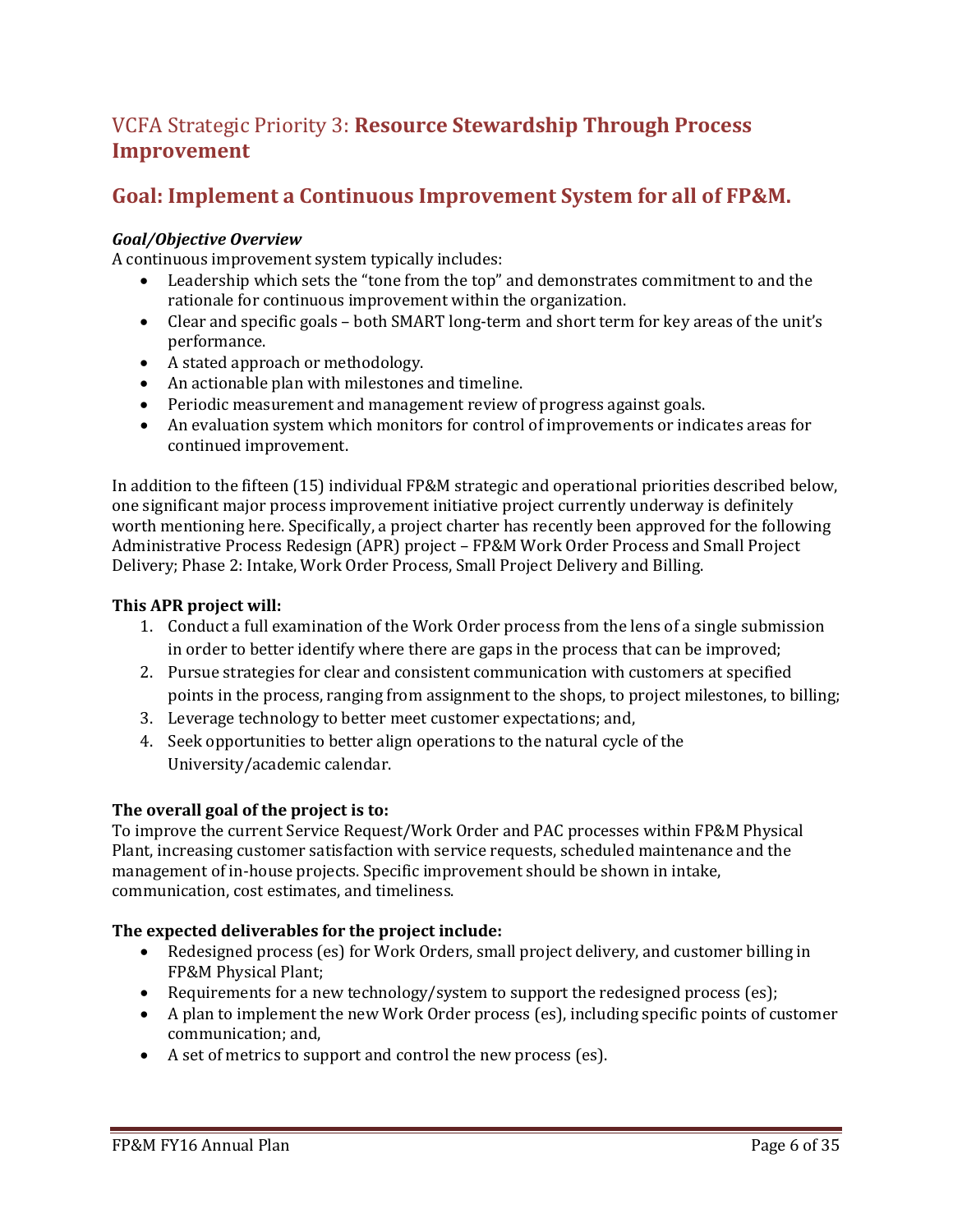# VCFA Strategic Priority 3: **Resource Stewardship Through Process Improvement**

# **Goal: Implement a Continuous Improvement System for all of FP&M.**

### *Goal/Objective Overview*

A continuous improvement system typically includes:

- Leadership which sets the "tone from the top" and demonstrates commitment to and the rationale for continuous improvement within the organization.
- Clear and specific goals both SMART long-term and short term for key areas of the unit's performance.
- A stated approach or methodology.
- An actionable plan with milestones and timeline.
- Periodic measurement and management review of progress against goals.
- An evaluation system which monitors for control of improvements or indicates areas for continued improvement.

In addition to the fifteen (15) individual FP&M strategic and operational priorities described below, one significant major process improvement initiative project currently underway is definitely worth mentioning here. Specifically, a project charter has recently been approved for the following Administrative Process Redesign (APR) project – FP&M Work Order Process and Small Project Delivery; Phase 2: Intake, Work Order Process, Small Project Delivery and Billing.

### **This APR project will:**

- 1. Conduct a full examination of the Work Order process from the lens of a single submission in order to better identify where there are gaps in the process that can be improved;
- 2. Pursue strategies for clear and consistent communication with customers at specified points in the process, ranging from assignment to the shops, to project milestones, to billing;
- 3. Leverage technology to better meet customer expectations; and,
- 4. Seek opportunities to better align operations to the natural cycle of the University/academic calendar.

### **The overall goal of the project is to:**

To improve the current Service Request/Work Order and PAC processes within FP&M Physical Plant, increasing customer satisfaction with service requests, scheduled maintenance and the management of in-house projects. Specific improvement should be shown in intake, communication, cost estimates, and timeliness.

### **The expected deliverables for the project include:**

- Redesigned process (es) for Work Orders, small project delivery, and customer billing in FP&M Physical Plant;
- Requirements for a new technology/system to support the redesigned process (es);
- A plan to implement the new Work Order process (es), including specific points of customer communication; and,
- A set of metrics to support and control the new process (es).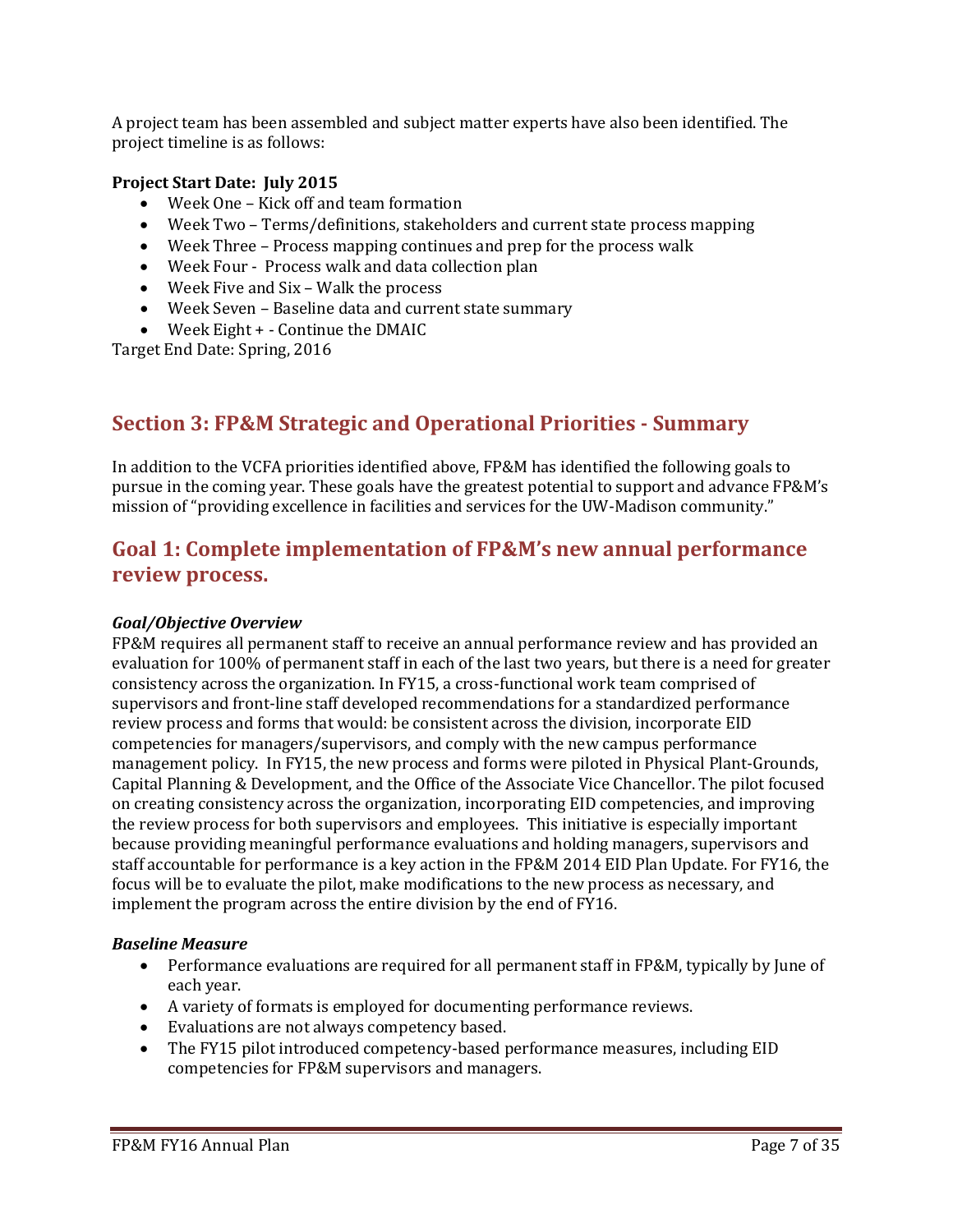A project team has been assembled and subject matter experts have also been identified. The project timeline is as follows:

### **Project Start Date: July 2015**

- Week One Kick off and team formation
- Week Two Terms/definitions, stakeholders and current state process mapping
- Week Three Process mapping continues and prep for the process walk
- Week Four Process walk and data collection plan
- Week Five and Six Walk the process
- Week Seven Baseline data and current state summary
- Week Eight + Continue the DMAIC

Target End Date: Spring, 2016

# **Section 3: FP&M Strategic and Operational Priorities - Summary**

In addition to the VCFA priorities identified above, FP&M has identified the following goals to pursue in the coming year. These goals have the greatest potential to support and advance FP&M's mission of "providing excellence in facilities and services for the UW-Madison community."

# **Goal 1: Complete implementation of FP&M's new annual performance review process.**

#### *Goal/Objective Overview*

FP&M requires all permanent staff to receive an annual performance review and has provided an evaluation for 100% of permanent staff in each of the last two years, but there is a need for greater consistency across the organization. In FY15, a cross-functional work team comprised of supervisors and front-line staff developed recommendations for a standardized performance review process and forms that would: be consistent across the division, incorporate EID competencies for managers/supervisors, and comply with the new campus performance management policy. In FY15, the new process and forms were piloted in Physical Plant-Grounds, Capital Planning & Development, and the Office of the Associate Vice Chancellor. The pilot focused on creating consistency across the organization, incorporating EID competencies, and improving the review process for both supervisors and employees. This initiative is especially important because providing meaningful performance evaluations and holding managers, supervisors and staff accountable for performance is a key action in the FP&M 2014 EID Plan Update. For FY16, the focus will be to evaluate the pilot, make modifications to the new process as necessary, and implement the program across the entire division by the end of FY16.

#### *Baseline Measure*

- Performance evaluations are required for all permanent staff in FP&M, typically by June of each year.
- A variety of formats is employed for documenting performance reviews.
- Evaluations are not always competency based.
- The FY15 pilot introduced competency-based performance measures, including EID competencies for FP&M supervisors and managers.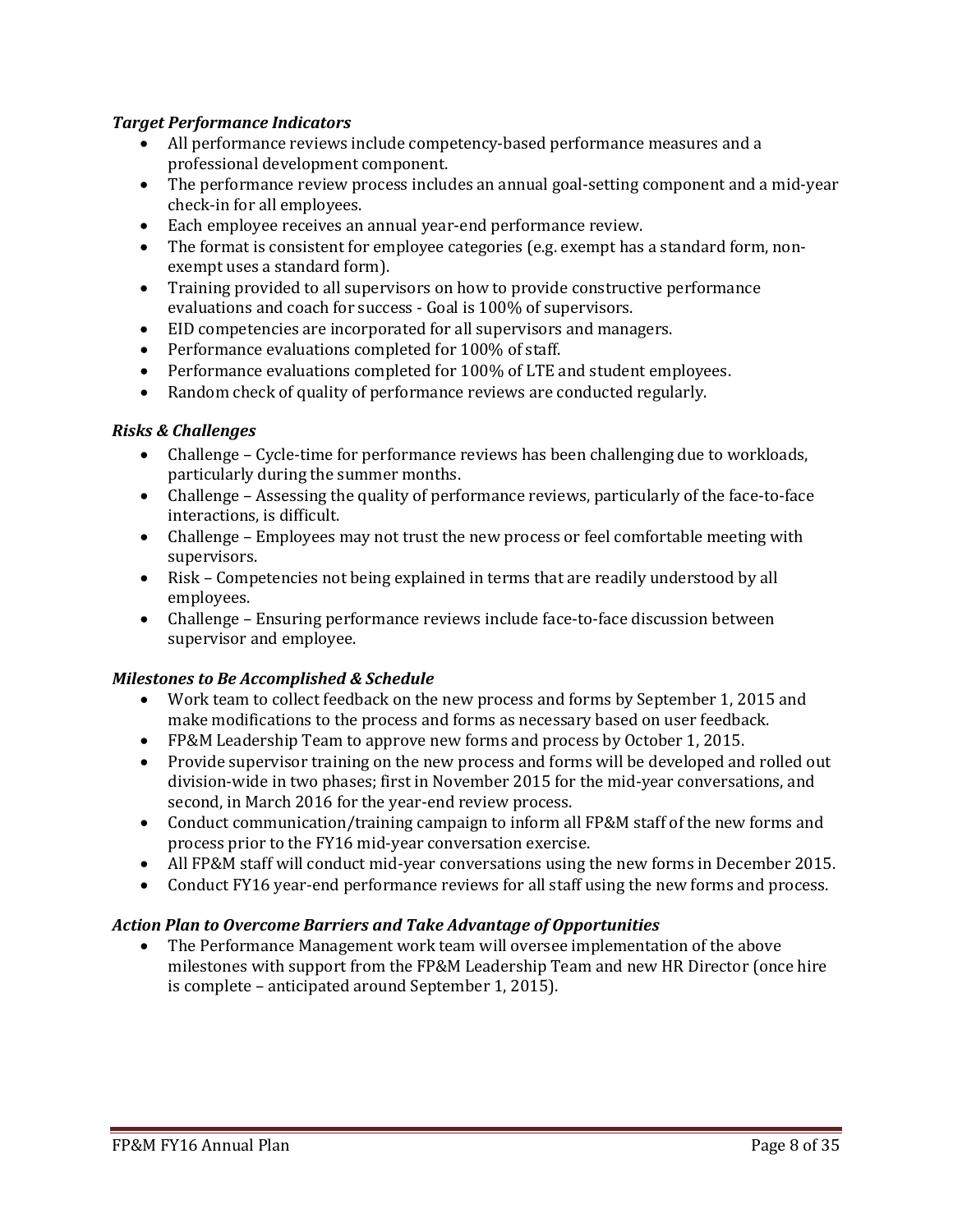## *Target Performance Indicators*

- All performance reviews include competency-based performance measures and a professional development component.
- The performance review process includes an annual goal-setting component and a mid-year check-in for all employees.
- Each employee receives an annual year-end performance review.
- The format is consistent for employee categories (e.g. exempt has a standard form, nonexempt uses a standard form).
- Training provided to all supervisors on how to provide constructive performance evaluations and coach for success - Goal is 100% of supervisors.
- EID competencies are incorporated for all supervisors and managers.
- Performance evaluations completed for 100% of staff.
- Performance evaluations completed for 100% of LTE and student employees.
- Random check of quality of performance reviews are conducted regularly.

### *Risks & Challenges*

- Challenge Cycle-time for performance reviews has been challenging due to workloads, particularly during the summer months.
- Challenge Assessing the quality of performance reviews, particularly of the face-to-face interactions, is difficult.
- Challenge Employees may not trust the new process or feel comfortable meeting with supervisors.
- Risk Competencies not being explained in terms that are readily understood by all employees.
- Challenge Ensuring performance reviews include face-to-face discussion between supervisor and employee.

### *Milestones to Be Accomplished & Schedule*

- Work team to collect feedback on the new process and forms by September 1, 2015 and make modifications to the process and forms as necessary based on user feedback.
- FP&M Leadership Team to approve new forms and process by October 1, 2015.
- Provide supervisor training on the new process and forms will be developed and rolled out division-wide in two phases; first in November 2015 for the mid-year conversations, and second, in March 2016 for the year-end review process.
- Conduct communication/training campaign to inform all FP&M staff of the new forms and process prior to the FY16 mid-year conversation exercise.
- All FP&M staff will conduct mid-year conversations using the new forms in December 2015.
- Conduct FY16 year-end performance reviews for all staff using the new forms and process.

# *Action Plan to Overcome Barriers and Take Advantage of Opportunities*

• The Performance Management work team will oversee implementation of the above milestones with support from the FP&M Leadership Team and new HR Director (once hire is complete – anticipated around September 1, 2015).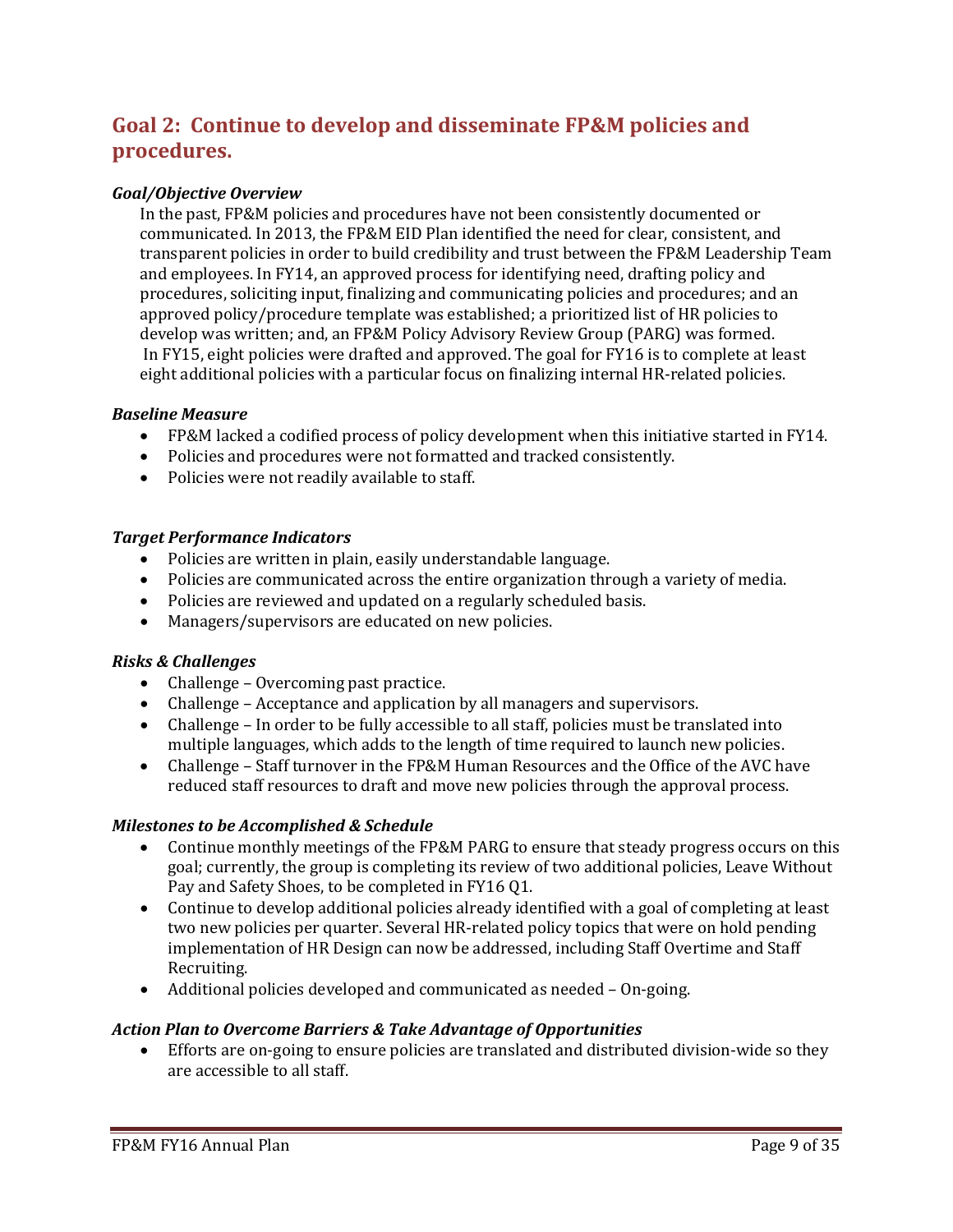# **Goal 2: Continue to develop and disseminate FP&M policies and procedures.**

### *Goal/Objective Overview*

In the past, FP&M policies and procedures have not been consistently documented or communicated. In 2013, the FP&M EID Plan identified the need for clear, consistent, and transparent policies in order to build credibility and trust between the FP&M Leadership Team and employees. In FY14, an approved process for identifying need, drafting policy and procedures, soliciting input, finalizing and communicating policies and procedures; and an approved policy/procedure template was established; a prioritized list of HR policies to develop was written; and, an FP&M Policy Advisory Review Group (PARG) was formed. In FY15, eight policies were drafted and approved. The goal for FY16 is to complete at least eight additional policies with a particular focus on finalizing internal HR-related policies.

#### *Baseline Measure*

- FP&M lacked a codified process of policy development when this initiative started in FY14.
- Policies and procedures were not formatted and tracked consistently.
- Policies were not readily available to staff.

#### *Target Performance Indicators*

- Policies are written in plain, easily understandable language.
- Policies are communicated across the entire organization through a variety of media.
- Policies are reviewed and updated on a regularly scheduled basis.
- Managers/supervisors are educated on new policies.

### *Risks & Challenges*

- Challenge Overcoming past practice.
- Challenge Acceptance and application by all managers and supervisors.
- Challenge In order to be fully accessible to all staff, policies must be translated into multiple languages, which adds to the length of time required to launch new policies.
- Challenge Staff turnover in the FP&M Human Resources and the Office of the AVC have reduced staff resources to draft and move new policies through the approval process.

#### *Milestones to be Accomplished & Schedule*

- Continue monthly meetings of the FP&M PARG to ensure that steady progress occurs on this goal; currently, the group is completing its review of two additional policies, Leave Without Pay and Safety Shoes, to be completed in FY16 Q1.
- Continue to develop additional policies already identified with a goal of completing at least two new policies per quarter. Several HR-related policy topics that were on hold pending implementation of HR Design can now be addressed, including Staff Overtime and Staff Recruiting.
- Additional policies developed and communicated as needed On-going.

#### *Action Plan to Overcome Barriers & Take Advantage of Opportunities*

• Efforts are on-going to ensure policies are translated and distributed division-wide so they are accessible to all staff.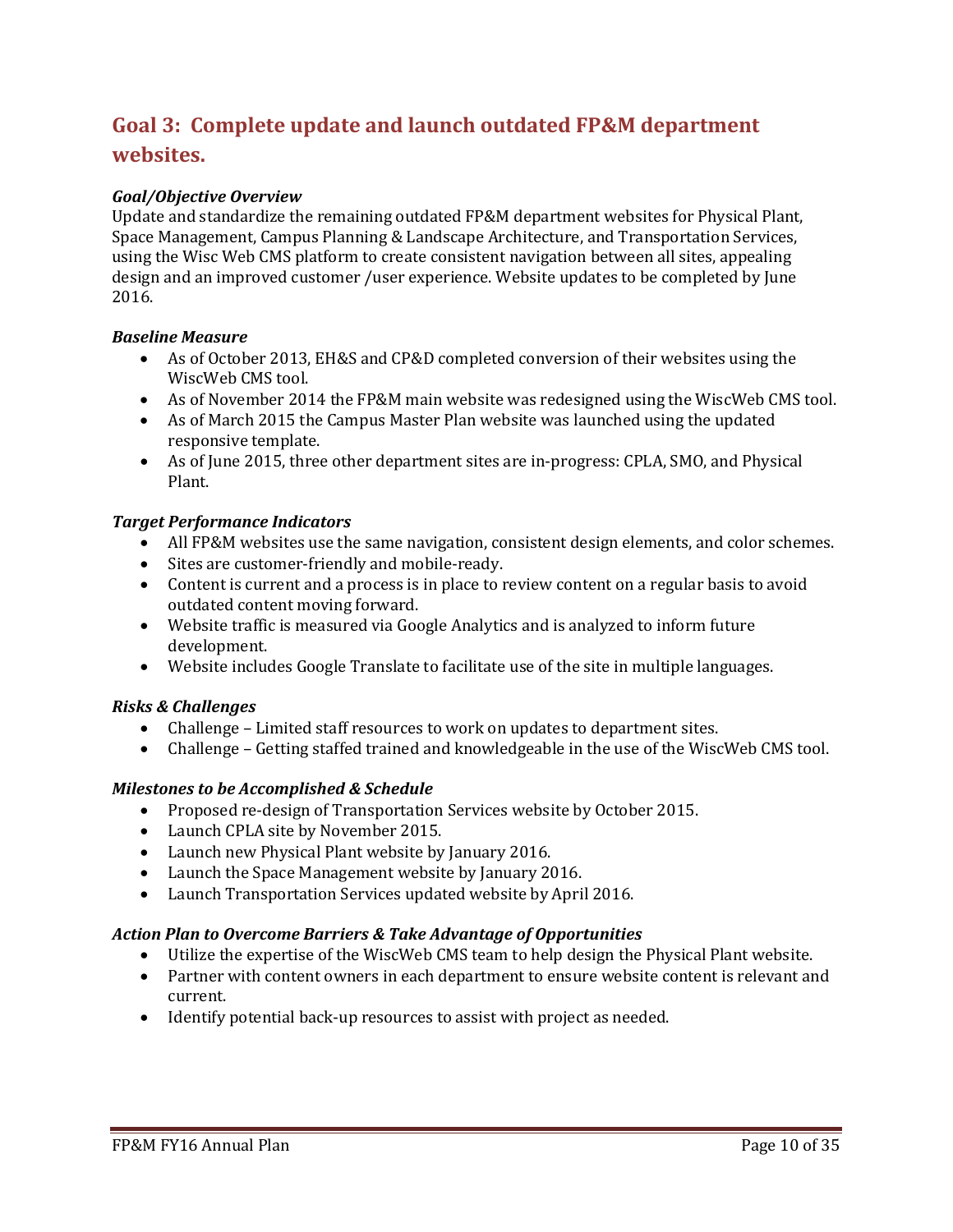# **Goal 3: Complete update and launch outdated FP&M department websites.**

# *Goal/Objective Overview*

Update and standardize the remaining outdated FP&M department websites for Physical Plant, Space Management, Campus Planning & Landscape Architecture, and Transportation Services, using the Wisc Web CMS platform to create consistent navigation between all sites, appealing design and an improved customer /user experience. Website updates to be completed by June 2016.

### *Baseline Measure*

- As of October 2013, EH&S and CP&D completed conversion of their websites using the WiscWeb CMS tool.
- As of November 2014 the FP&M main website was redesigned using the WiscWeb CMS tool.
- As of March 2015 the Campus Master Plan website was launched using the updated responsive template.
- As of June 2015, three other department sites are in-progress: CPLA, SMO, and Physical Plant.

### *Target Performance Indicators*

- All FP&M websites use the same navigation, consistent design elements, and color schemes.
- Sites are customer-friendly and mobile-ready.
- Content is current and a process is in place to review content on a regular basis to avoid outdated content moving forward.
- Website traffic is measured via Google Analytics and is analyzed to inform future development.
- Website includes Google Translate to facilitate use of the site in multiple languages.

### *Risks & Challenges*

- Challenge Limited staff resources to work on updates to department sites.
- Challenge Getting staffed trained and knowledgeable in the use of the WiscWeb CMS tool.

### *Milestones to be Accomplished & Schedule*

- Proposed re-design of Transportation Services website by October 2015.
- Launch CPLA site by November 2015.
- Launch new Physical Plant website by January 2016.
- Launch the Space Management website by January 2016.
- Launch Transportation Services updated website by April 2016.

#### *Action Plan to Overcome Barriers & Take Advantage of Opportunities*

- Utilize the expertise of the WiscWeb CMS team to help design the Physical Plant website.
- Partner with content owners in each department to ensure website content is relevant and current.
- Identify potential back-up resources to assist with project as needed.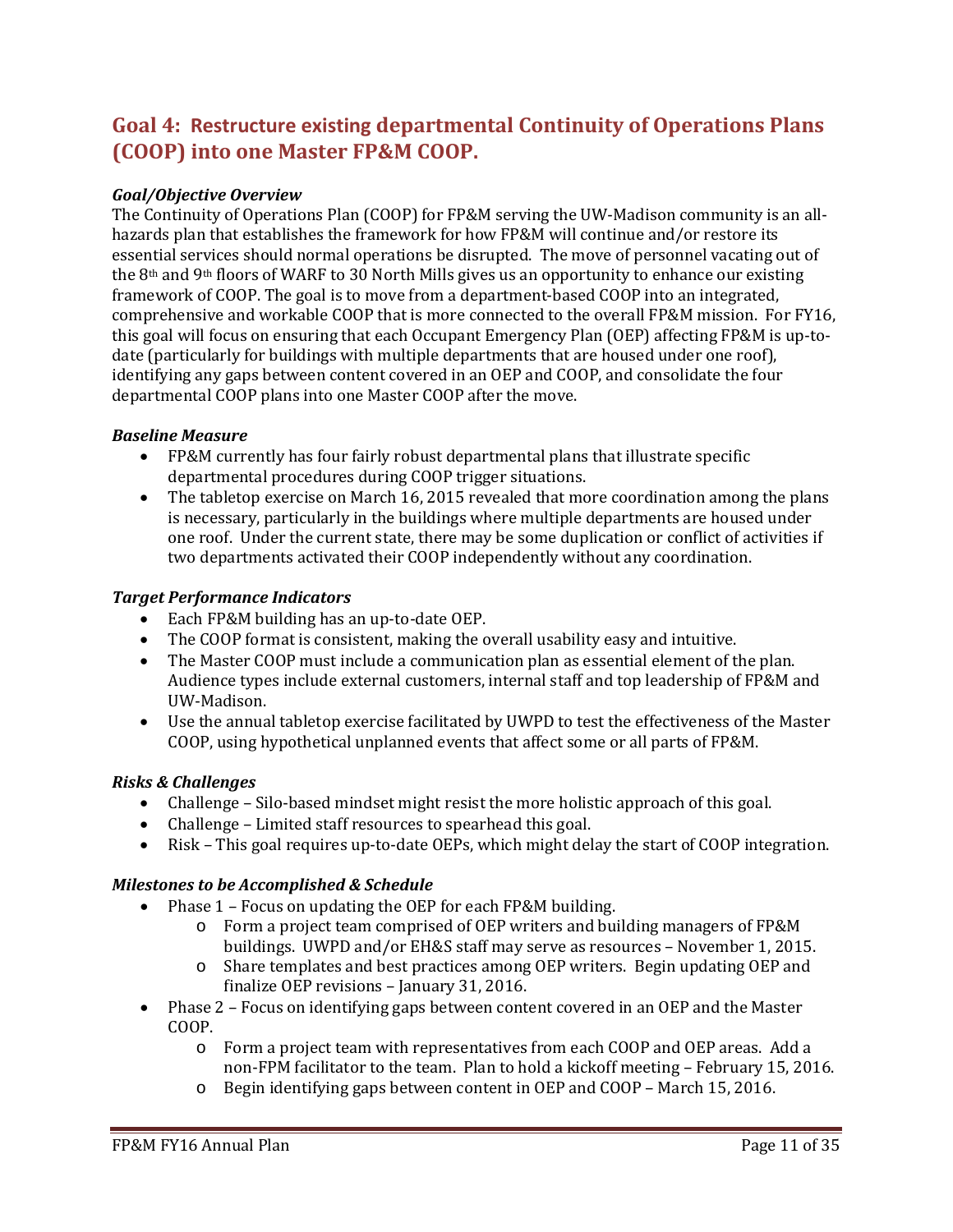# **Goal 4: Restructure existing departmental Continuity of Operations Plans (COOP) into one Master FP&M COOP.**

### *Goal/Objective Overview*

The Continuity of Operations Plan (COOP) for FP&M serving the UW-Madison community is an allhazards plan that establishes the framework for how FP&M will continue and/or restore its essential services should normal operations be disrupted. The move of personnel vacating out of the 8th and 9th floors of WARF to 30 North Mills gives us an opportunity to enhance our existing framework of COOP. The goal is to move from a department-based COOP into an integrated, comprehensive and workable COOP that is more connected to the overall FP&M mission. For FY16, this goal will focus on ensuring that each Occupant Emergency Plan (OEP) affecting FP&M is up-todate (particularly for buildings with multiple departments that are housed under one roof), identifying any gaps between content covered in an OEP and COOP, and consolidate the four departmental COOP plans into one Master COOP after the move.

#### *Baseline Measure*

- FP&M currently has four fairly robust departmental plans that illustrate specific departmental procedures during COOP trigger situations.
- The tabletop exercise on March 16, 2015 revealed that more coordination among the plans is necessary, particularly in the buildings where multiple departments are housed under one roof. Under the current state, there may be some duplication or conflict of activities if two departments activated their COOP independently without any coordination.

#### *Target Performance Indicators*

- Each FP&M building has an up-to-date OEP.
- The COOP format is consistent, making the overall usability easy and intuitive.
- The Master COOP must include a communication plan as essential element of the plan. Audience types include external customers, internal staff and top leadership of FP&M and UW-Madison.
- Use the annual tabletop exercise facilitated by UWPD to test the effectiveness of the Master COOP, using hypothetical unplanned events that affect some or all parts of FP&M.

### *Risks & Challenges*

- Challenge Silo-based mindset might resist the more holistic approach of this goal.
- Challenge Limited staff resources to spearhead this goal.
- Risk This goal requires up-to-date OEPs, which might delay the start of COOP integration.

### *Milestones to be Accomplished & Schedule*

- Phase 1 Focus on updating the OEP for each FP&M building.
	- o Form a project team comprised of OEP writers and building managers of FP&M buildings. UWPD and/or EH&S staff may serve as resources – November 1, 2015.
	- o Share templates and best practices among OEP writers. Begin updating OEP and finalize OEP revisions – January 31, 2016.
- Phase 2 Focus on identifying gaps between content covered in an OEP and the Master COOP.
	- o Form a project team with representatives from each COOP and OEP areas. Add a non-FPM facilitator to the team. Plan to hold a kickoff meeting – February 15, 2016.
	- o Begin identifying gaps between content in OEP and COOP March 15, 2016.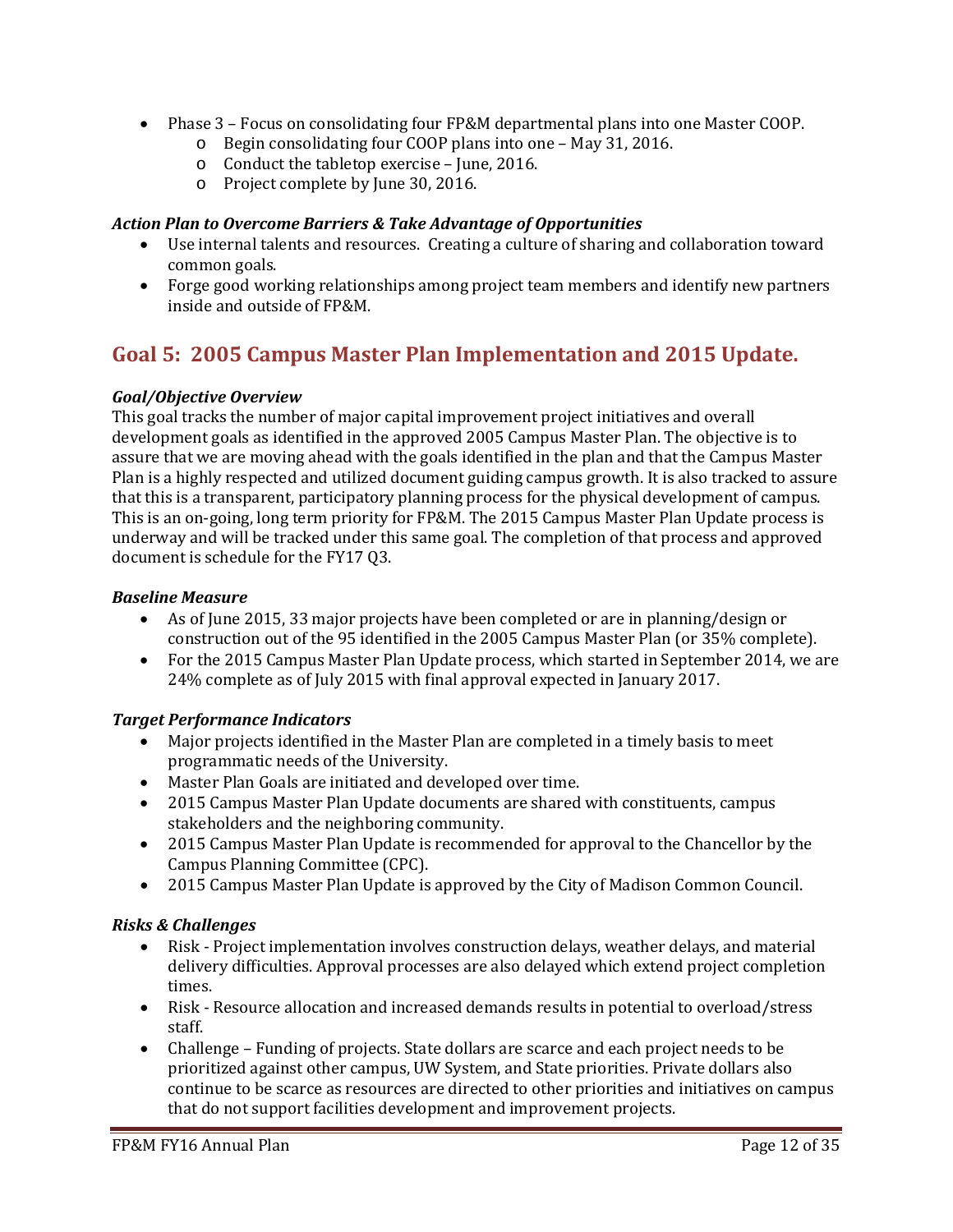- Phase 3 Focus on consolidating four FP&M departmental plans into one Master COOP.
	- o Begin consolidating four COOP plans into one May 31, 2016.
	- o Conduct the tabletop exercise June, 2016.
	- o Project complete by June 30, 2016.

# *Action Plan to Overcome Barriers & Take Advantage of Opportunities*

- Use internal talents and resources. Creating a culture of sharing and collaboration toward common goals.
- Forge good working relationships among project team members and identify new partners inside and outside of FP&M.

# **Goal 5: 2005 Campus Master Plan Implementation and 2015 Update.**

# *Goal/Objective Overview*

This goal tracks the number of major capital improvement project initiatives and overall development goals as identified in the approved 2005 Campus Master Plan. The objective is to assure that we are moving ahead with the goals identified in the plan and that the Campus Master Plan is a highly respected and utilized document guiding campus growth. It is also tracked to assure that this is a transparent, participatory planning process for the physical development of campus. This is an on-going, long term priority for FP&M. The 2015 Campus Master Plan Update process is underway and will be tracked under this same goal. The completion of that process and approved document is schedule for the FY17 Q3.

# *Baseline Measure*

- As of June 2015, 33 major projects have been completed or are in planning/design or construction out of the 95 identified in the 2005 Campus Master Plan (or 35% complete).
- For the 2015 Campus Master Plan Update process, which started in September 2014, we are 24% complete as of July 2015 with final approval expected in January 2017.

# *Target Performance Indicators*

- Major projects identified in the Master Plan are completed in a timely basis to meet programmatic needs of the University.
- Master Plan Goals are initiated and developed over time.
- 2015 Campus Master Plan Update documents are shared with constituents, campus stakeholders and the neighboring community.
- 2015 Campus Master Plan Update is recommended for approval to the Chancellor by the Campus Planning Committee (CPC).
- 2015 Campus Master Plan Update is approved by the City of Madison Common Council.

# *Risks & Challenges*

- Risk Project implementation involves construction delays, weather delays, and material delivery difficulties. Approval processes are also delayed which extend project completion times.
- Risk Resource allocation and increased demands results in potential to overload/stress staff.
- Challenge Funding of projects. State dollars are scarce and each project needs to be prioritized against other campus, UW System, and State priorities. Private dollars also continue to be scarce as resources are directed to other priorities and initiatives on campus that do not support facilities development and improvement projects.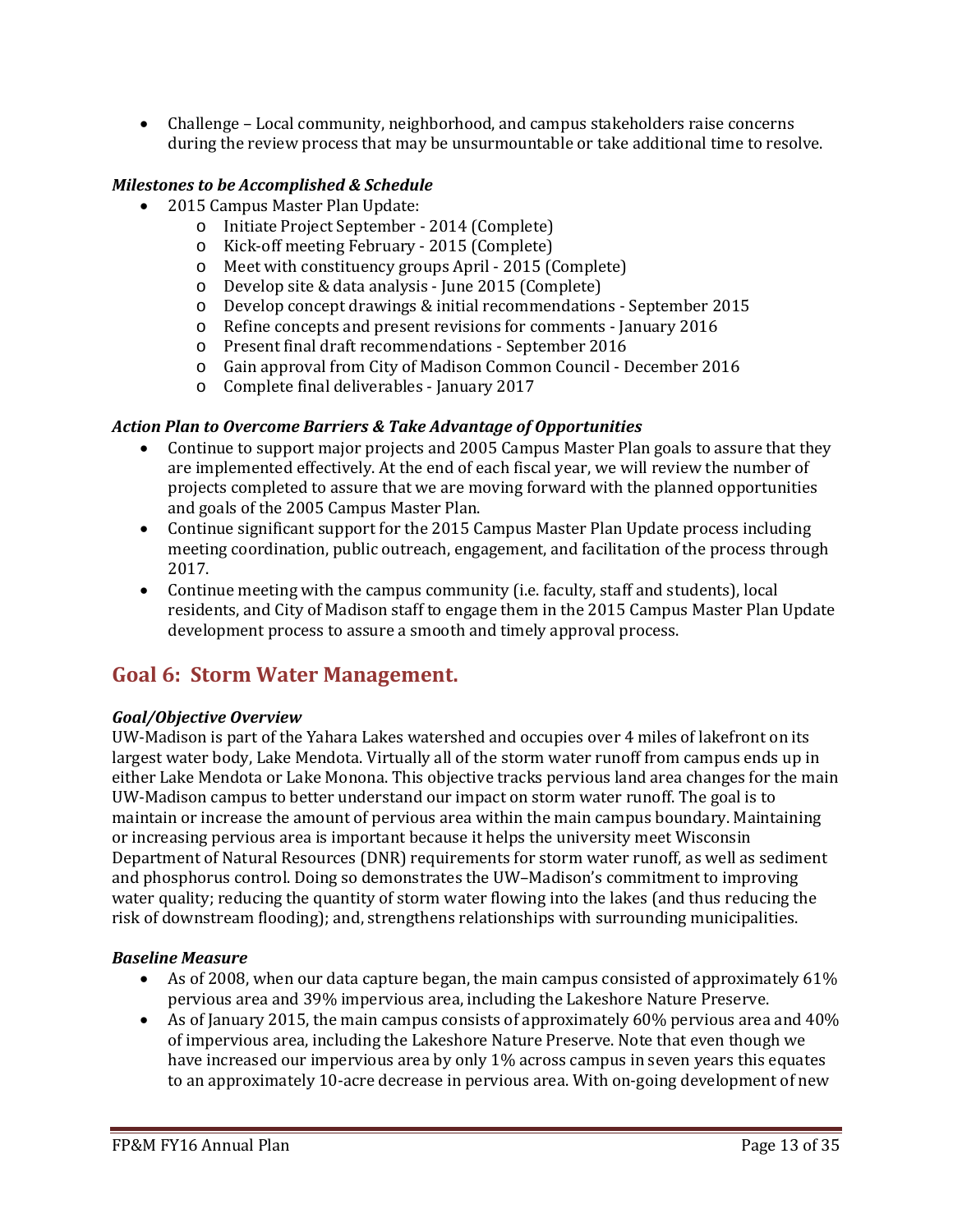• Challenge – Local community, neighborhood, and campus stakeholders raise concerns during the review process that may be unsurmountable or take additional time to resolve.

## *Milestones to be Accomplished & Schedule*

- 2015 Campus Master Plan Update:
	- o Initiate Project September 2014 (Complete)
	- o Kick-off meeting February 2015 (Complete)
	- o Meet with constituency groups April 2015 (Complete)
	- o Develop site & data analysis June 2015 (Complete)
	- o Develop concept drawings & initial recommendations September 2015
	- o Refine concepts and present revisions for comments January 2016
	- o Present final draft recommendations September 2016
	- o Gain approval from City of Madison Common Council December 2016
	- o Complete final deliverables January 2017

### *Action Plan to Overcome Barriers & Take Advantage of Opportunities*

- Continue to support major projects and 2005 Campus Master Plan goals to assure that they are implemented effectively. At the end of each fiscal year, we will review the number of projects completed to assure that we are moving forward with the planned opportunities and goals of the 2005 Campus Master Plan.
- Continue significant support for the 2015 Campus Master Plan Update process including meeting coordination, public outreach, engagement, and facilitation of the process through 2017.
- Continue meeting with the campus community (i.e. faculty, staff and students), local residents, and City of Madison staff to engage them in the 2015 Campus Master Plan Update development process to assure a smooth and timely approval process.

# **Goal 6: Storm Water Management.**

### *Goal/Objective Overview*

UW-Madison is part of the Yahara Lakes watershed and occupies over 4 miles of lakefront on its largest water body, Lake Mendota. Virtually all of the storm water runoff from campus ends up in either Lake Mendota or Lake Monona. This objective tracks pervious land area changes for the main UW-Madison campus to better understand our impact on storm water runoff. The goal is to maintain or increase the amount of pervious area within the main campus boundary. Maintaining or increasing pervious area is important because it helps the university meet Wisconsin Department of Natural Resources (DNR) requirements for storm water runoff, as well as sediment and phosphorus control. Doing so demonstrates the UW–Madison's commitment to improving water quality; reducing the quantity of storm water flowing into the lakes (and thus reducing the risk of downstream flooding); and, strengthens relationships with surrounding municipalities.

### *Baseline Measure*

- As of 2008, when our data capture began, the main campus consisted of approximately 61% pervious area and 39% impervious area, including the Lakeshore Nature Preserve.
- As of January 2015, the main campus consists of approximately 60% pervious area and 40% of impervious area, including the Lakeshore Nature Preserve. Note that even though we have increased our impervious area by only 1% across campus in seven years this equates to an approximately 10-acre decrease in pervious area. With on-going development of new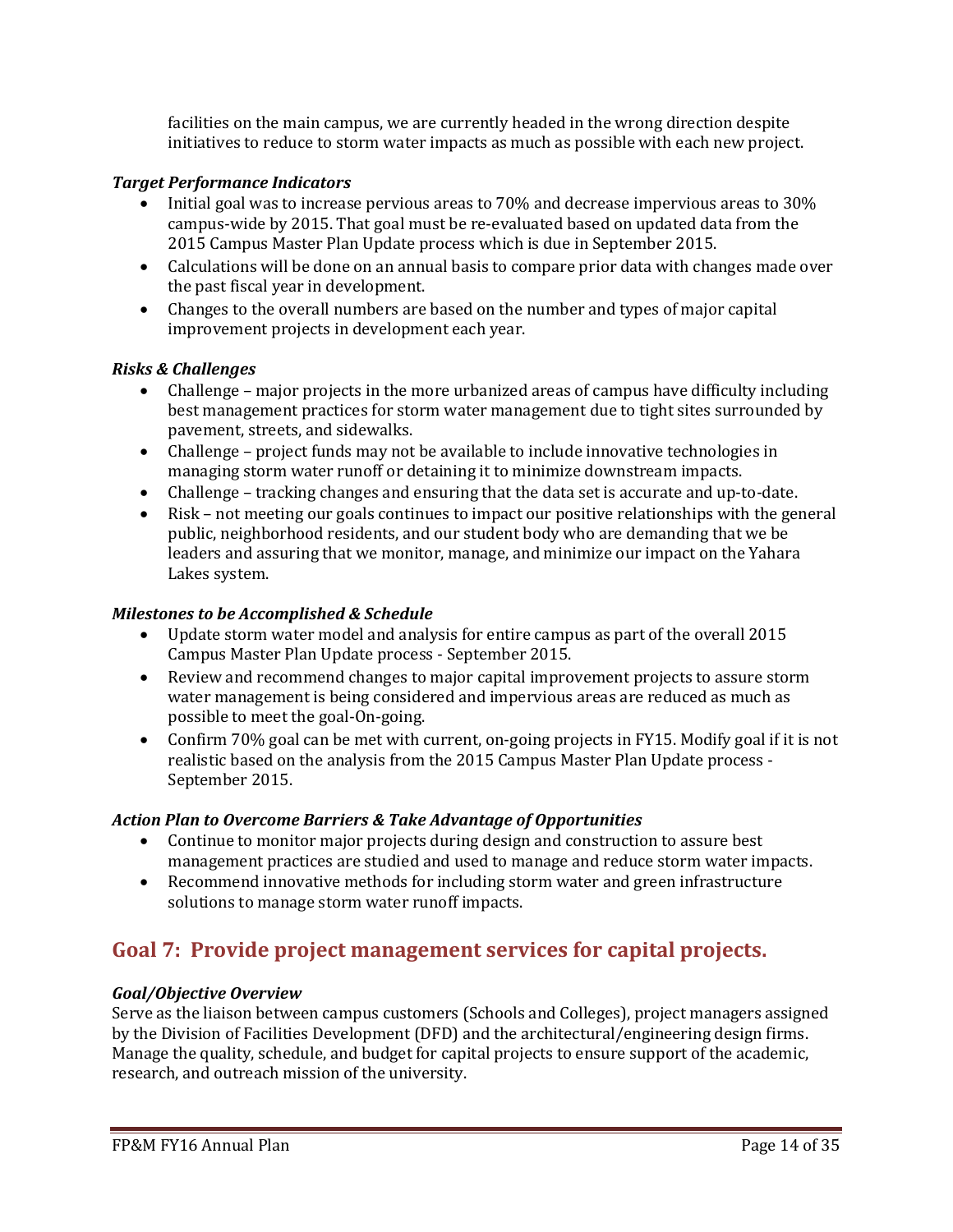facilities on the main campus, we are currently headed in the wrong direction despite initiatives to reduce to storm water impacts as much as possible with each new project.

## *Target Performance Indicators*

- Initial goal was to increase pervious areas to 70% and decrease impervious areas to 30% campus-wide by 2015. That goal must be re-evaluated based on updated data from the 2015 Campus Master Plan Update process which is due in September 2015.
- Calculations will be done on an annual basis to compare prior data with changes made over the past fiscal year in development.
- Changes to the overall numbers are based on the number and types of major capital improvement projects in development each year.

## *Risks & Challenges*

- Challenge major projects in the more urbanized areas of campus have difficulty including best management practices for storm water management due to tight sites surrounded by pavement, streets, and sidewalks.
- Challenge project funds may not be available to include innovative technologies in managing storm water runoff or detaining it to minimize downstream impacts.
- Challenge tracking changes and ensuring that the data set is accurate and up-to-date.
- Risk not meeting our goals continues to impact our positive relationships with the general public, neighborhood residents, and our student body who are demanding that we be leaders and assuring that we monitor, manage, and minimize our impact on the Yahara Lakes system.

## *Milestones to be Accomplished & Schedule*

- Update storm water model and analysis for entire campus as part of the overall 2015 Campus Master Plan Update process - September 2015.
- Review and recommend changes to major capital improvement projects to assure storm water management is being considered and impervious areas are reduced as much as possible to meet the goal-On-going.
- Confirm 70% goal can be met with current, on-going projects in FY15. Modify goal if it is not realistic based on the analysis from the 2015 Campus Master Plan Update process - September 2015.

### *Action Plan to Overcome Barriers & Take Advantage of Opportunities*

- Continue to monitor major projects during design and construction to assure best management practices are studied and used to manage and reduce storm water impacts.
- Recommend innovative methods for including storm water and green infrastructure solutions to manage storm water runoff impacts.

# **Goal 7: Provide project management services for capital projects.**

### *Goal/Objective Overview*

Serve as the liaison between campus customers (Schools and Colleges), project managers assigned by the Division of Facilities Development (DFD) and the architectural/engineering design firms. Manage the quality, schedule, and budget for capital projects to ensure support of the academic, research, and outreach mission of the university.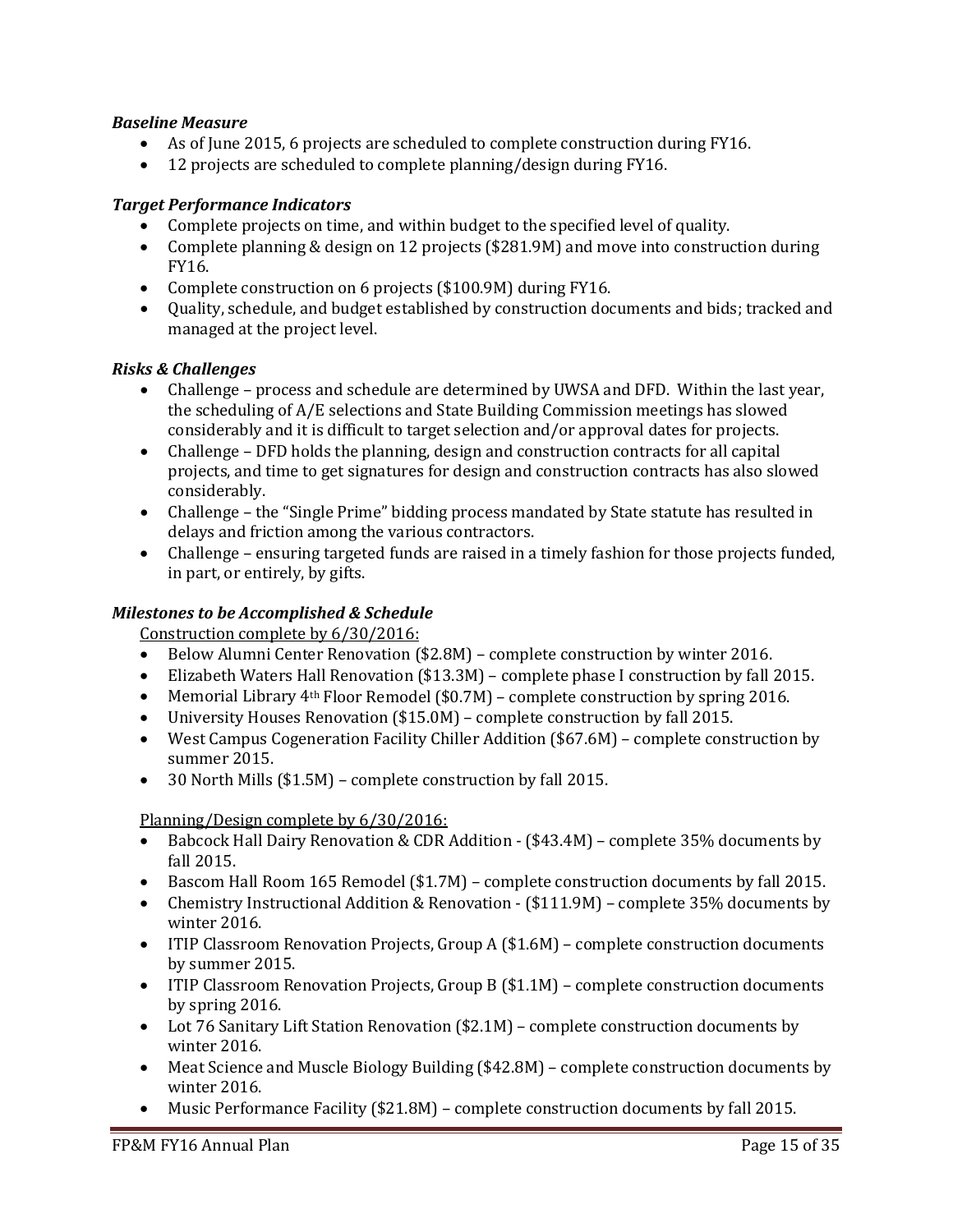## *Baseline Measure*

- As of June 2015, 6 projects are scheduled to complete construction during FY16.
- 12 projects are scheduled to complete planning/design during FY16.

#### *Target Performance Indicators*

- Complete projects on time, and within budget to the specified level of quality.
- Complete planning & design on 12 projects (\$281.9M) and move into construction during FY16.
- Complete construction on 6 projects (\$100.9M) during FY16.
- Quality, schedule, and budget established by construction documents and bids; tracked and managed at the project level.

### *Risks & Challenges*

- Challenge process and schedule are determined by UWSA and DFD. Within the last year, the scheduling of A/E selections and State Building Commission meetings has slowed considerably and it is difficult to target selection and/or approval dates for projects.
- Challenge DFD holds the planning, design and construction contracts for all capital projects, and time to get signatures for design and construction contracts has also slowed considerably.
- Challenge the "Single Prime" bidding process mandated by State statute has resulted in delays and friction among the various contractors.
- Challenge ensuring targeted funds are raised in a timely fashion for those projects funded, in part, or entirely, by gifts.

#### *Milestones to be Accomplished & Schedule*

Construction complete by 6/30/2016:

- Below Alumni Center Renovation (\$2.8M) complete construction by winter 2016.
- Elizabeth Waters Hall Renovation (\$13.3M) complete phase I construction by fall 2015.
- Memorial Library  $4<sup>th</sup>$  Floor Remodel (\$0.7M) complete construction by spring 2016.
- University Houses Renovation (\$15.0M) complete construction by fall 2015.
- West Campus Cogeneration Facility Chiller Addition (\$67.6M) complete construction by summer 2015.
- 30 North Mills (\$1.5M) complete construction by fall 2015.

Planning/Design complete by 6/30/2016:

- Babcock Hall Dairy Renovation & CDR Addition (\$43.4M) complete 35% documents by fall 2015.
- Bascom Hall Room 165 Remodel (\$1.7M) complete construction documents by fall 2015.
- Chemistry Instructional Addition & Renovation (\$111.9M) complete 35% documents by winter 2016.
- ITIP Classroom Renovation Projects, Group A (\$1.6M) complete construction documents by summer 2015.
- ITIP Classroom Renovation Projects, Group B (\$1.1M) complete construction documents by spring 2016.
- Lot 76 Sanitary Lift Station Renovation (\$2.1M) complete construction documents by winter 2016.
- Meat Science and Muscle Biology Building (\$42.8M) complete construction documents by winter 2016.
- Music Performance Facility (\$21.8M) complete construction documents by fall 2015.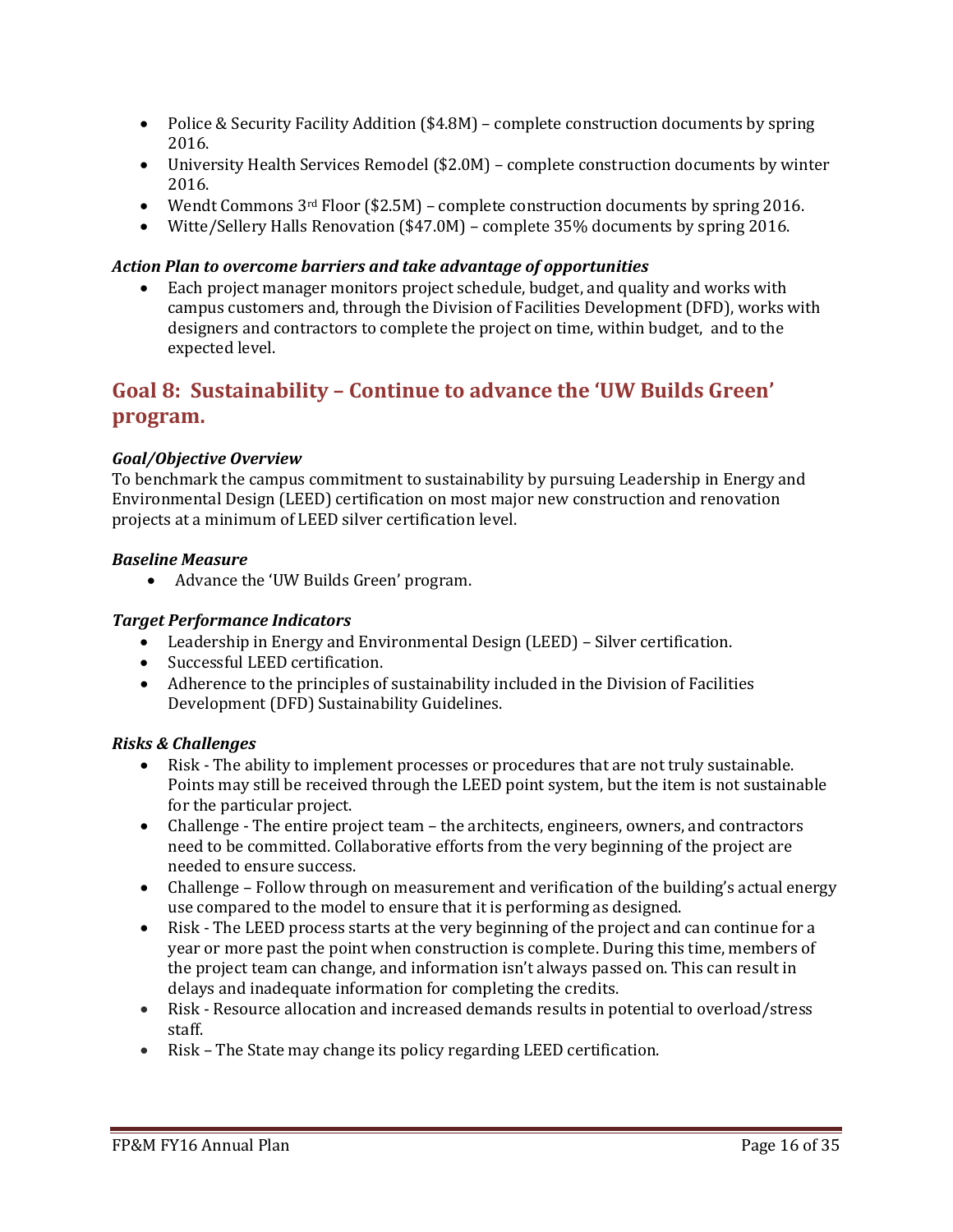- Police & Security Facility Addition (\$4.8M) complete construction documents by spring 2016.
- University Health Services Remodel (\$2.0M) complete construction documents by winter 2016.
- Wendt Commons  $3^{rd}$  Floor (\$2.5M) complete construction documents by spring 2016.
- Witte/Sellery Halls Renovation (\$47.0M) complete 35% documents by spring 2016.

## *Action Plan to overcome barriers and take advantage of opportunities*

• Each project manager monitors project schedule, budget, and quality and works with campus customers and, through the Division of Facilities Development (DFD), works with designers and contractors to complete the project on time, within budget, and to the expected level.

# **Goal 8: Sustainability – Continue to advance the 'UW Builds Green' program.**

# *Goal/Objective Overview*

To benchmark the campus commitment to sustainability by pursuing Leadership in Energy and Environmental Design (LEED) certification on most major new construction and renovation projects at a minimum of LEED silver certification level.

### *Baseline Measure*

• Advance the 'UW Builds Green' program.

### *Target Performance Indicators*

- Leadership in Energy and Environmental Design (LEED) Silver certification.
- Successful LEED certification.
- Adherence to the principles of sustainability included in the Division of Facilities Development (DFD) Sustainability Guidelines.

### *Risks & Challenges*

- Risk The ability to implement processes or procedures that are not truly sustainable. Points may still be received through the LEED point system, but the item is not sustainable for the particular project.
- Challenge The entire project team the architects, engineers, owners, and contractors need to be committed. Collaborative efforts from the very beginning of the project are needed to ensure success.
- Challenge Follow through on measurement and verification of the building's actual energy use compared to the model to ensure that it is performing as designed.
- Risk The LEED process starts at the very beginning of the project and can continue for a year or more past the point when construction is complete. During this time, members of the project team can change, and information isn't always passed on. This can result in delays and inadequate information for completing the credits.
- Risk Resource allocation and increased demands results in potential to overload/stress staff.
- Risk The State may change its policy regarding LEED certification.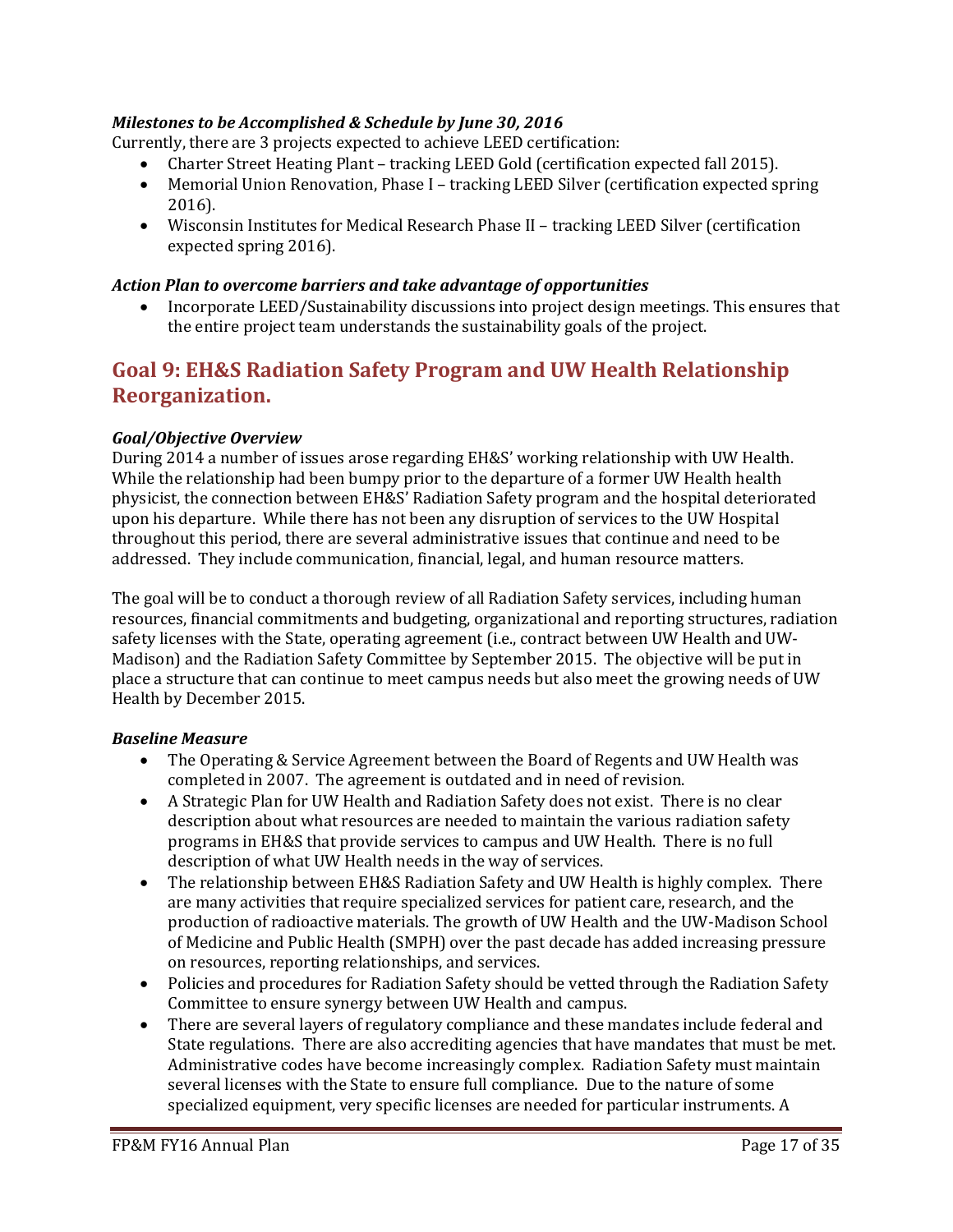# *Milestones to be Accomplished & Schedule by June 30, 2016*

Currently, there are 3 projects expected to achieve LEED certification:

- Charter Street Heating Plant tracking LEED Gold (certification expected fall 2015).
- Memorial Union Renovation, Phase I tracking LEED Silver (certification expected spring 2016).
- Wisconsin Institutes for Medical Research Phase II tracking LEED Silver (certification expected spring 2016).

#### *Action Plan to overcome barriers and take advantage of opportunities*

• Incorporate LEED/Sustainability discussions into project design meetings. This ensures that the entire project team understands the sustainability goals of the project.

# **Goal 9: EH&S Radiation Safety Program and UW Health Relationship Reorganization.**

#### *Goal/Objective Overview*

During 2014 a number of issues arose regarding EH&S' working relationship with UW Health. While the relationship had been bumpy prior to the departure of a former UW Health health physicist, the connection between EH&S' Radiation Safety program and the hospital deteriorated upon his departure. While there has not been any disruption of services to the UW Hospital throughout this period, there are several administrative issues that continue and need to be addressed. They include communication, financial, legal, and human resource matters.

The goal will be to conduct a thorough review of all Radiation Safety services, including human resources, financial commitments and budgeting, organizational and reporting structures, radiation safety licenses with the State, operating agreement (i.e., contract between UW Health and UW-Madison) and the Radiation Safety Committee by September 2015. The objective will be put in place a structure that can continue to meet campus needs but also meet the growing needs of UW Health by December 2015.

#### *Baseline Measure*

- The Operating & Service Agreement between the Board of Regents and UW Health was completed in 2007. The agreement is outdated and in need of revision.
- A Strategic Plan for UW Health and Radiation Safety does not exist. There is no clear description about what resources are needed to maintain the various radiation safety programs in EH&S that provide services to campus and UW Health. There is no full description of what UW Health needs in the way of services.
- The relationship between EH&S Radiation Safety and UW Health is highly complex. There are many activities that require specialized services for patient care, research, and the production of radioactive materials. The growth of UW Health and the UW-Madison School of Medicine and Public Health (SMPH) over the past decade has added increasing pressure on resources, reporting relationships, and services.
- Policies and procedures for Radiation Safety should be vetted through the Radiation Safety Committee to ensure synergy between UW Health and campus.
- There are several layers of regulatory compliance and these mandates include federal and State regulations. There are also accrediting agencies that have mandates that must be met. Administrative codes have become increasingly complex. Radiation Safety must maintain several licenses with the State to ensure full compliance. Due to the nature of some specialized equipment, very specific licenses are needed for particular instruments. A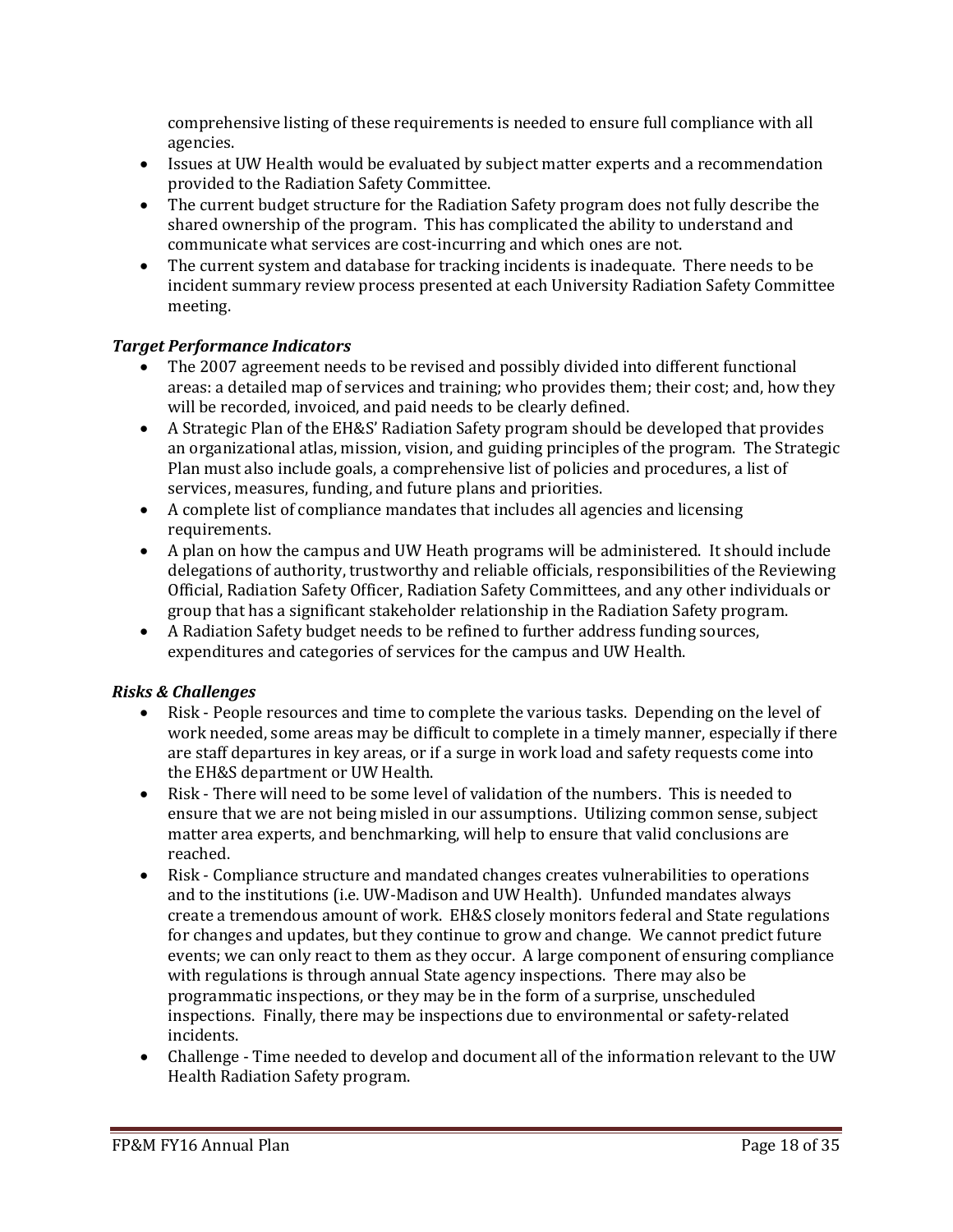comprehensive listing of these requirements is needed to ensure full compliance with all agencies.

- Issues at UW Health would be evaluated by subject matter experts and a recommendation provided to the Radiation Safety Committee.
- The current budget structure for the Radiation Safety program does not fully describe the shared ownership of the program. This has complicated the ability to understand and communicate what services are cost-incurring and which ones are not.
- The current system and database for tracking incidents is inadequate. There needs to be incident summary review process presented at each University Radiation Safety Committee meeting.

### *Target Performance Indicators*

- The 2007 agreement needs to be revised and possibly divided into different functional areas: a detailed map of services and training; who provides them; their cost; and, how they will be recorded, invoiced, and paid needs to be clearly defined.
- A Strategic Plan of the EH&S' Radiation Safety program should be developed that provides an organizational atlas, mission, vision, and guiding principles of the program. The Strategic Plan must also include goals, a comprehensive list of policies and procedures, a list of services, measures, funding, and future plans and priorities.
- A complete list of compliance mandates that includes all agencies and licensing requirements.
- A plan on how the campus and UW Heath programs will be administered. It should include delegations of authority, trustworthy and reliable officials, responsibilities of the Reviewing Official, Radiation Safety Officer, Radiation Safety Committees, and any other individuals or group that has a significant stakeholder relationship in the Radiation Safety program.
- A Radiation Safety budget needs to be refined to further address funding sources, expenditures and categories of services for the campus and UW Health.

# *Risks & Challenges*

- Risk People resources and time to complete the various tasks. Depending on the level of work needed, some areas may be difficult to complete in a timely manner, especially if there are staff departures in key areas, or if a surge in work load and safety requests come into the EH&S department or UW Health.
- Risk There will need to be some level of validation of the numbers. This is needed to ensure that we are not being misled in our assumptions. Utilizing common sense, subject matter area experts, and benchmarking, will help to ensure that valid conclusions are reached.
- Risk Compliance structure and mandated changes creates vulnerabilities to operations and to the institutions (i.e. UW-Madison and UW Health). Unfunded mandates always create a tremendous amount of work. EH&S closely monitors federal and State regulations for changes and updates, but they continue to grow and change. We cannot predict future events; we can only react to them as they occur. A large component of ensuring compliance with regulations is through annual State agency inspections. There may also be programmatic inspections, or they may be in the form of a surprise, unscheduled inspections. Finally, there may be inspections due to environmental or safety-related incidents.
- Challenge Time needed to develop and document all of the information relevant to the UW Health Radiation Safety program.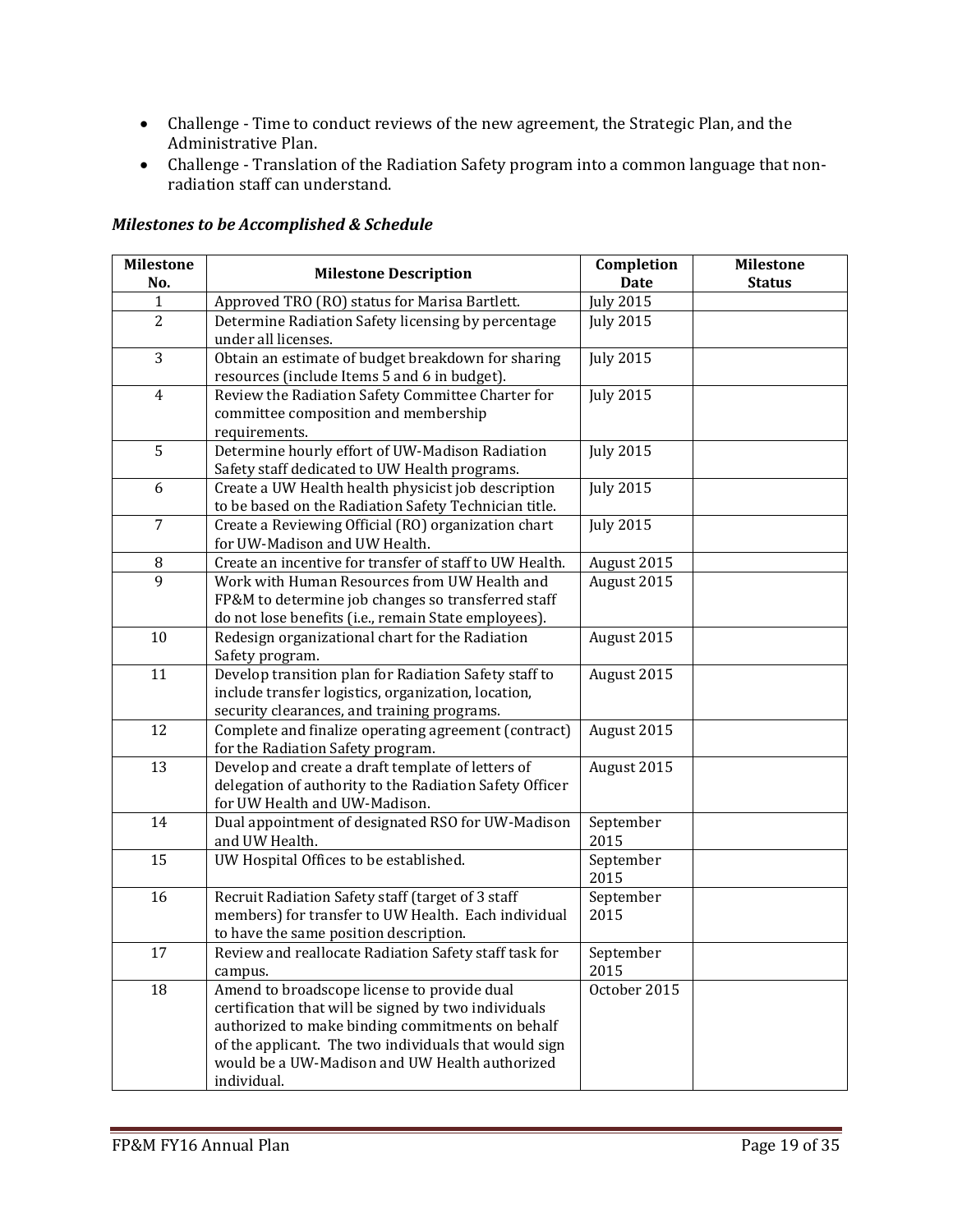- Challenge Time to conduct reviews of the new agreement, the Strategic Plan, and the Administrative Plan.
- Challenge Translation of the Radiation Safety program into a common language that nonradiation staff can understand.

#### *Milestones to be Accomplished & Schedule*

| <b>Milestone</b><br>No. | <b>Milestone Description</b>                                                                                                                                                                                                                                                      | Completion<br><b>Date</b> | <b>Milestone</b><br><b>Status</b> |
|-------------------------|-----------------------------------------------------------------------------------------------------------------------------------------------------------------------------------------------------------------------------------------------------------------------------------|---------------------------|-----------------------------------|
| 1                       | Approved TRO (RO) status for Marisa Bartlett.                                                                                                                                                                                                                                     | <b>July 2015</b>          |                                   |
| $\overline{2}$          | Determine Radiation Safety licensing by percentage<br>under all licenses.                                                                                                                                                                                                         | <b>July 2015</b>          |                                   |
| 3                       | Obtain an estimate of budget breakdown for sharing<br>resources (include Items 5 and 6 in budget).                                                                                                                                                                                | <b>July 2015</b>          |                                   |
| $\overline{4}$          | Review the Radiation Safety Committee Charter for<br>committee composition and membership<br>requirements.                                                                                                                                                                        | <b>July 2015</b>          |                                   |
| 5                       | Determine hourly effort of UW-Madison Radiation<br>Safety staff dedicated to UW Health programs.                                                                                                                                                                                  | <b>July 2015</b>          |                                   |
| 6                       | Create a UW Health health physicist job description<br>to be based on the Radiation Safety Technician title.                                                                                                                                                                      | <b>July 2015</b>          |                                   |
| 7                       | Create a Reviewing Official (RO) organization chart<br>for UW-Madison and UW Health.                                                                                                                                                                                              | <b>July 2015</b>          |                                   |
| 8                       | Create an incentive for transfer of staff to UW Health.                                                                                                                                                                                                                           | August 2015               |                                   |
| 9                       | Work with Human Resources from UW Health and<br>FP&M to determine job changes so transferred staff<br>do not lose benefits (i.e., remain State employees).                                                                                                                        | August 2015               |                                   |
| 10                      | Redesign organizational chart for the Radiation<br>Safety program.                                                                                                                                                                                                                | August 2015               |                                   |
| 11                      | Develop transition plan for Radiation Safety staff to<br>include transfer logistics, organization, location,<br>security clearances, and training programs.                                                                                                                       | August 2015               |                                   |
| 12                      | Complete and finalize operating agreement (contract)<br>for the Radiation Safety program.                                                                                                                                                                                         | August 2015               |                                   |
| 13                      | Develop and create a draft template of letters of<br>delegation of authority to the Radiation Safety Officer<br>for UW Health and UW-Madison.                                                                                                                                     | August 2015               |                                   |
| 14                      | Dual appointment of designated RSO for UW-Madison<br>and UW Health.                                                                                                                                                                                                               | September<br>2015         |                                   |
| 15                      | UW Hospital Offices to be established.                                                                                                                                                                                                                                            | September<br>2015         |                                   |
| 16                      | Recruit Radiation Safety staff (target of 3 staff<br>members) for transfer to UW Health. Each individual<br>to have the same position description.                                                                                                                                | September<br>2015         |                                   |
| 17                      | Review and reallocate Radiation Safety staff task for<br>campus.                                                                                                                                                                                                                  | September<br>2015         |                                   |
| 18                      | Amend to broadscope license to provide dual<br>certification that will be signed by two individuals<br>authorized to make binding commitments on behalf<br>of the applicant. The two individuals that would sign<br>would be a UW-Madison and UW Health authorized<br>individual. | October 2015              |                                   |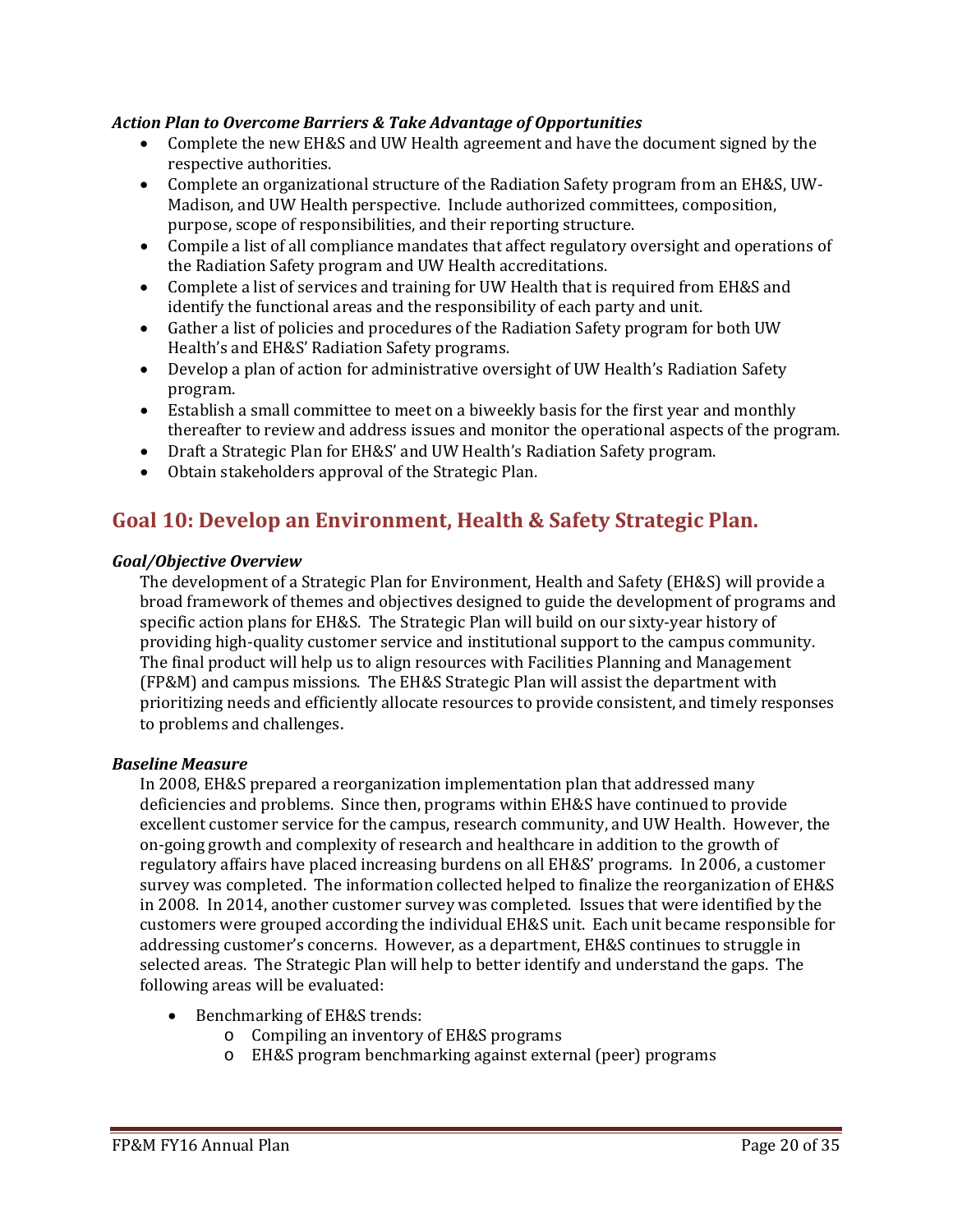## *Action Plan to Overcome Barriers & Take Advantage of Opportunities*

- Complete the new EH&S and UW Health agreement and have the document signed by the respective authorities.
- Complete an organizational structure of the Radiation Safety program from an EH&S, UW-Madison, and UW Health perspective. Include authorized committees, composition, purpose, scope of responsibilities, and their reporting structure.
- Compile a list of all compliance mandates that affect regulatory oversight and operations of the Radiation Safety program and UW Health accreditations.
- Complete a list of services and training for UW Health that is required from EH&S and identify the functional areas and the responsibility of each party and unit.
- Gather a list of policies and procedures of the Radiation Safety program for both UW Health's and EH&S' Radiation Safety programs.
- Develop a plan of action for administrative oversight of UW Health's Radiation Safety program.
- Establish a small committee to meet on a biweekly basis for the first year and monthly thereafter to review and address issues and monitor the operational aspects of the program.
- Draft a Strategic Plan for EH&S' and UW Health's Radiation Safety program.
- Obtain stakeholders approval of the Strategic Plan.

# **Goal 10: Develop an Environment, Health & Safety Strategic Plan.**

### *Goal/Objective Overview*

The development of a Strategic Plan for Environment, Health and Safety (EH&S) will provide a broad framework of themes and objectives designed to guide the development of programs and specific action plans for EH&S. The Strategic Plan will build on our sixty-year history of providing high-quality customer service and institutional support to the campus community. The final product will help us to align resources with Facilities Planning and Management (FP&M) and campus missions. The EH&S Strategic Plan will assist the department with prioritizing needs and efficiently allocate resources to provide consistent, and timely responses to problems and challenges.

#### *Baseline Measure*

In 2008, EH&S prepared a reorganization implementation plan that addressed many deficiencies and problems. Since then, programs within EH&S have continued to provide excellent customer service for the campus, research community, and UW Health. However, the on-going growth and complexity of research and healthcare in addition to the growth of regulatory affairs have placed increasing burdens on all EH&S' programs. In 2006, a customer survey was completed. The information collected helped to finalize the reorganization of EH&S in 2008. In 2014, another customer survey was completed. Issues that were identified by the customers were grouped according the individual EH&S unit. Each unit became responsible for addressing customer's concerns. However, as a department, EH&S continues to struggle in selected areas. The Strategic Plan will help to better identify and understand the gaps. The following areas will be evaluated:

- Benchmarking of EH&S trends:
	- o Compiling an inventory of EH&S programs
	- o EH&S program benchmarking against external (peer) programs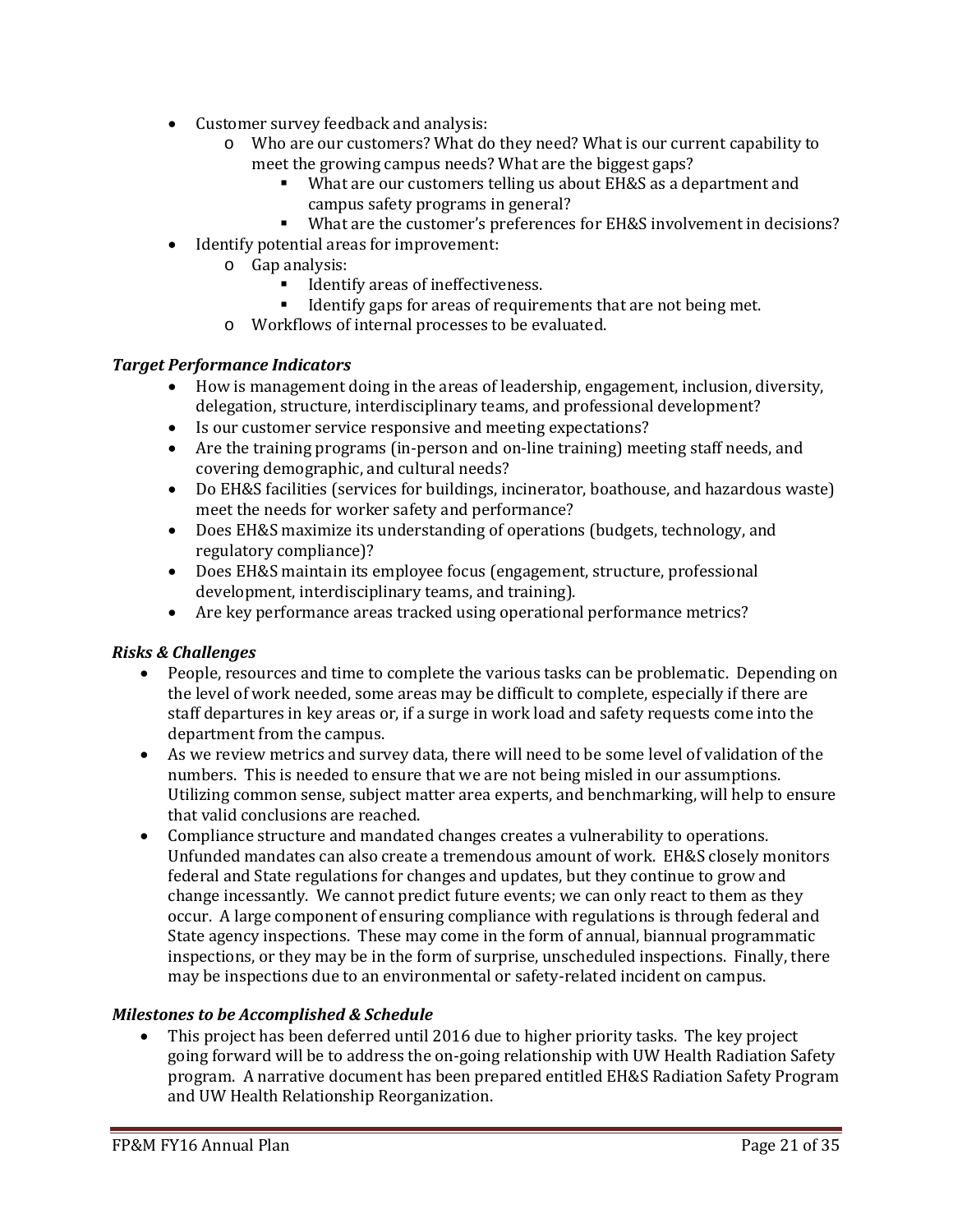- Customer survey feedback and analysis:<br>
o Who are our customers? What do
	- Who are our customers? What do they need? What is our current capability to meet the growing campus needs? What are the biggest gaps?
		- What are our customers telling us about EH&S as a department and campus safety programs in general?
		- What are the customer's preferences for EH&S involvement in decisions?
- Identify potential areas for improvement:
	- o Gap analysis:
		- **IDENTIFY ALTER 15 IDENTIFY ATTES IDENTIFY**
		- **IDENTIFY FIGHTS** Identify gaps for areas of requirements that are not being met.
	- o Workflows of internal processes to be evaluated.

#### *Target Performance Indicators*

- How is management doing in the areas of leadership, engagement, inclusion, diversity, delegation, structure, interdisciplinary teams, and professional development?
- Is our customer service responsive and meeting expectations?
- Are the training programs (in-person and on-line training) meeting staff needs, and covering demographic, and cultural needs?
- Do EH&S facilities (services for buildings, incinerator, boathouse, and hazardous waste) meet the needs for worker safety and performance?
- Does EH&S maximize its understanding of operations (budgets, technology, and regulatory compliance)?
- Does EH&S maintain its employee focus (engagement, structure, professional development, interdisciplinary teams, and training).
- Are key performance areas tracked using operational performance metrics?

### *Risks & Challenges*

- People, resources and time to complete the various tasks can be problematic. Depending on the level of work needed, some areas may be difficult to complete, especially if there are staff departures in key areas or, if a surge in work load and safety requests come into the department from the campus.
- As we review metrics and survey data, there will need to be some level of validation of the numbers. This is needed to ensure that we are not being misled in our assumptions. Utilizing common sense, subject matter area experts, and benchmarking, will help to ensure that valid conclusions are reached.
- Compliance structure and mandated changes creates a vulnerability to operations. Unfunded mandates can also create a tremendous amount of work. EH&S closely monitors federal and State regulations for changes and updates, but they continue to grow and change incessantly. We cannot predict future events; we can only react to them as they occur. A large component of ensuring compliance with regulations is through federal and State agency inspections. These may come in the form of annual, biannual programmatic inspections, or they may be in the form of surprise, unscheduled inspections. Finally, there may be inspections due to an environmental or safety-related incident on campus.

### *Milestones to be Accomplished & Schedule*

• This project has been deferred until 2016 due to higher priority tasks. The key project going forward will be to address the on-going relationship with UW Health Radiation Safety program. A narrative document has been prepared entitled EH&S Radiation Safety Program and UW Health Relationship Reorganization.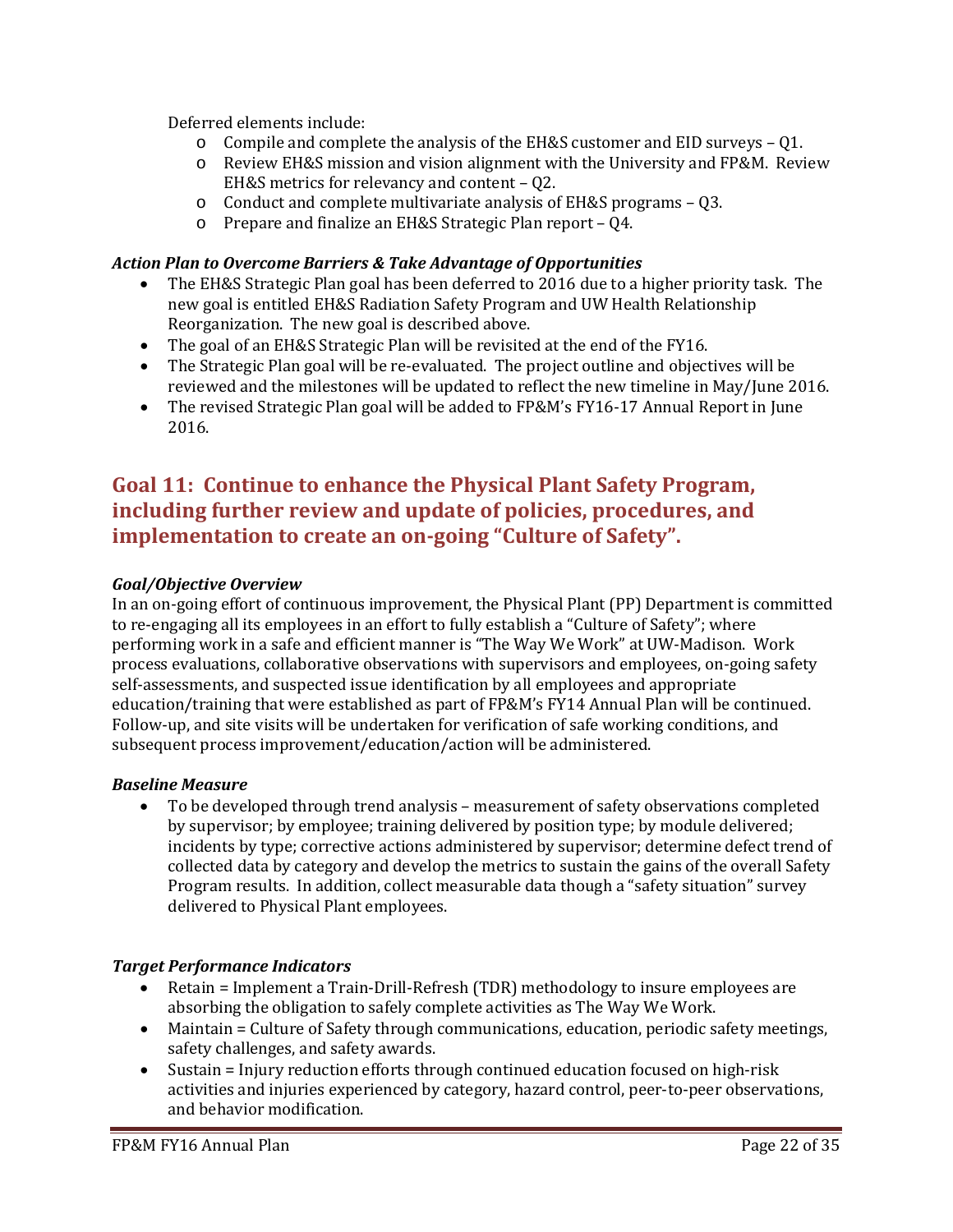Deferred elements include:

- o Compile and complete the analysis of the EH&S customer and EID surveys Q1.
- o Review EH&S mission and vision alignment with the University and FP&M. Review EH&S metrics for relevancy and content – Q2.
- o Conduct and complete multivariate analysis of EH&S programs Q3.
- o Prepare and finalize an EH&S Strategic Plan report Q4.

# *Action Plan to Overcome Barriers & Take Advantage of Opportunities*

- The EH&S Strategic Plan goal has been deferred to 2016 due to a higher priority task. The new goal is entitled EH&S Radiation Safety Program and UW Health Relationship Reorganization. The new goal is described above.
- The goal of an EH&S Strategic Plan will be revisited at the end of the FY16.
- The Strategic Plan goal will be re-evaluated. The project outline and objectives will be reviewed and the milestones will be updated to reflect the new timeline in May/June 2016.
- The revised Strategic Plan goal will be added to FP&M's FY16-17 Annual Report in June 2016.

# **Goal 11: Continue to enhance the Physical Plant Safety Program, including further review and update of policies, procedures, and implementation to create an on-going "Culture of Safety".**

## *Goal/Objective Overview*

In an on-going effort of continuous improvement, the Physical Plant (PP) Department is committed to re-engaging all its employees in an effort to fully establish a "Culture of Safety"; where performing work in a safe and efficient manner is "The Way We Work" at UW-Madison. Work process evaluations, collaborative observations with supervisors and employees, on-going safety self-assessments, and suspected issue identification by all employees and appropriate education/training that were established as part of FP&M's FY14 Annual Plan will be continued. Follow-up, and site visits will be undertaken for verification of safe working conditions, and subsequent process improvement/education/action will be administered.

### *Baseline Measure*

• To be developed through trend analysis – measurement of safety observations completed by supervisor; by employee; training delivered by position type; by module delivered; incidents by type; corrective actions administered by supervisor; determine defect trend of collected data by category and develop the metrics to sustain the gains of the overall Safety Program results. In addition, collect measurable data though a "safety situation" survey delivered to Physical Plant employees.

# *Target Performance Indicators*

- Retain = Implement a Train-Drill-Refresh (TDR) methodology to insure employees are absorbing the obligation to safely complete activities as The Way We Work.
- Maintain = Culture of Safety through communications, education, periodic safety meetings, safety challenges, and safety awards.
- Sustain = Injury reduction efforts through continued education focused on high-risk activities and injuries experienced by category, hazard control, peer-to-peer observations, and behavior modification.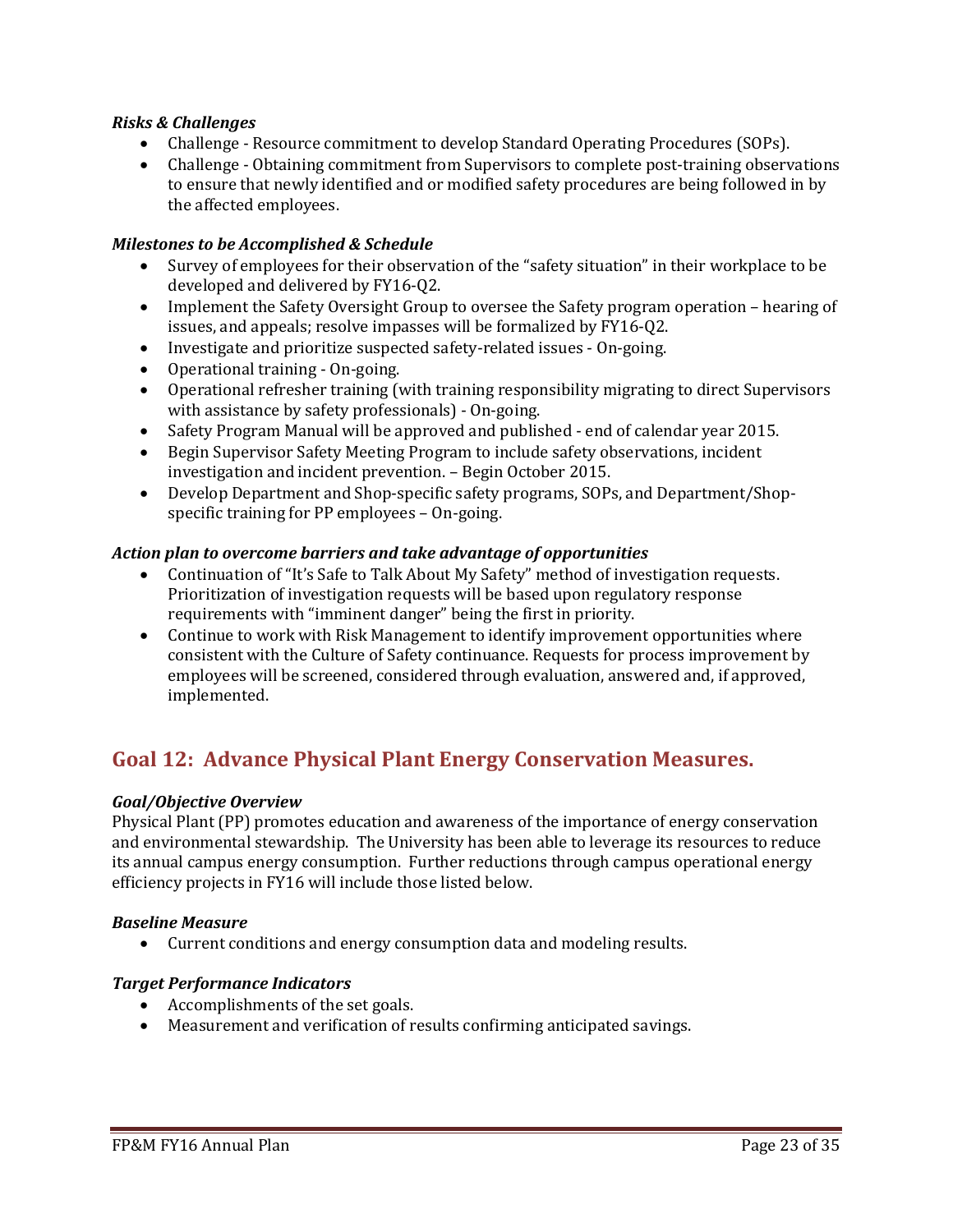### *Risks & Challenges*

- Challenge Resource commitment to develop Standard Operating Procedures (SOPs).
- Challenge Obtaining commitment from Supervisors to complete post-training observations to ensure that newly identified and or modified safety procedures are being followed in by the affected employees.

#### *Milestones to be Accomplished & Schedule*

- Survey of employees for their observation of the "safety situation" in their workplace to be developed and delivered by FY16-Q2.
- Implement the Safety Oversight Group to oversee the Safety program operation hearing of issues, and appeals; resolve impasses will be formalized by FY16-Q2.
- Investigate and prioritize suspected safety-related issues On-going.
- Operational training On-going.
- Operational refresher training (with training responsibility migrating to direct Supervisors with assistance by safety professionals) - On-going.
- Safety Program Manual will be approved and published end of calendar year 2015.
- Begin Supervisor Safety Meeting Program to include safety observations, incident investigation and incident prevention. – Begin October 2015.
- Develop Department and Shop-specific safety programs, SOPs, and Department/Shopspecific training for PP employees – On-going.

#### *Action plan to overcome barriers and take advantage of opportunities*

- Continuation of "It's Safe to Talk About My Safety" method of investigation requests. Prioritization of investigation requests will be based upon regulatory response requirements with "imminent danger" being the first in priority.
- Continue to work with Risk Management to identify improvement opportunities where consistent with the Culture of Safety continuance. Requests for process improvement by employees will be screened, considered through evaluation, answered and, if approved, implemented.

# **Goal 12: Advance Physical Plant Energy Conservation Measures.**

#### *Goal/Objective Overview*

Physical Plant (PP) promotes education and awareness of the importance of energy conservation and environmental stewardship. The University has been able to leverage its resources to reduce its annual campus energy consumption. Further reductions through campus operational energy efficiency projects in FY16 will include those listed below.

#### *Baseline Measure*

• Current conditions and energy consumption data and modeling results.

### *Target Performance Indicators*

- Accomplishments of the set goals.
- Measurement and verification of results confirming anticipated savings.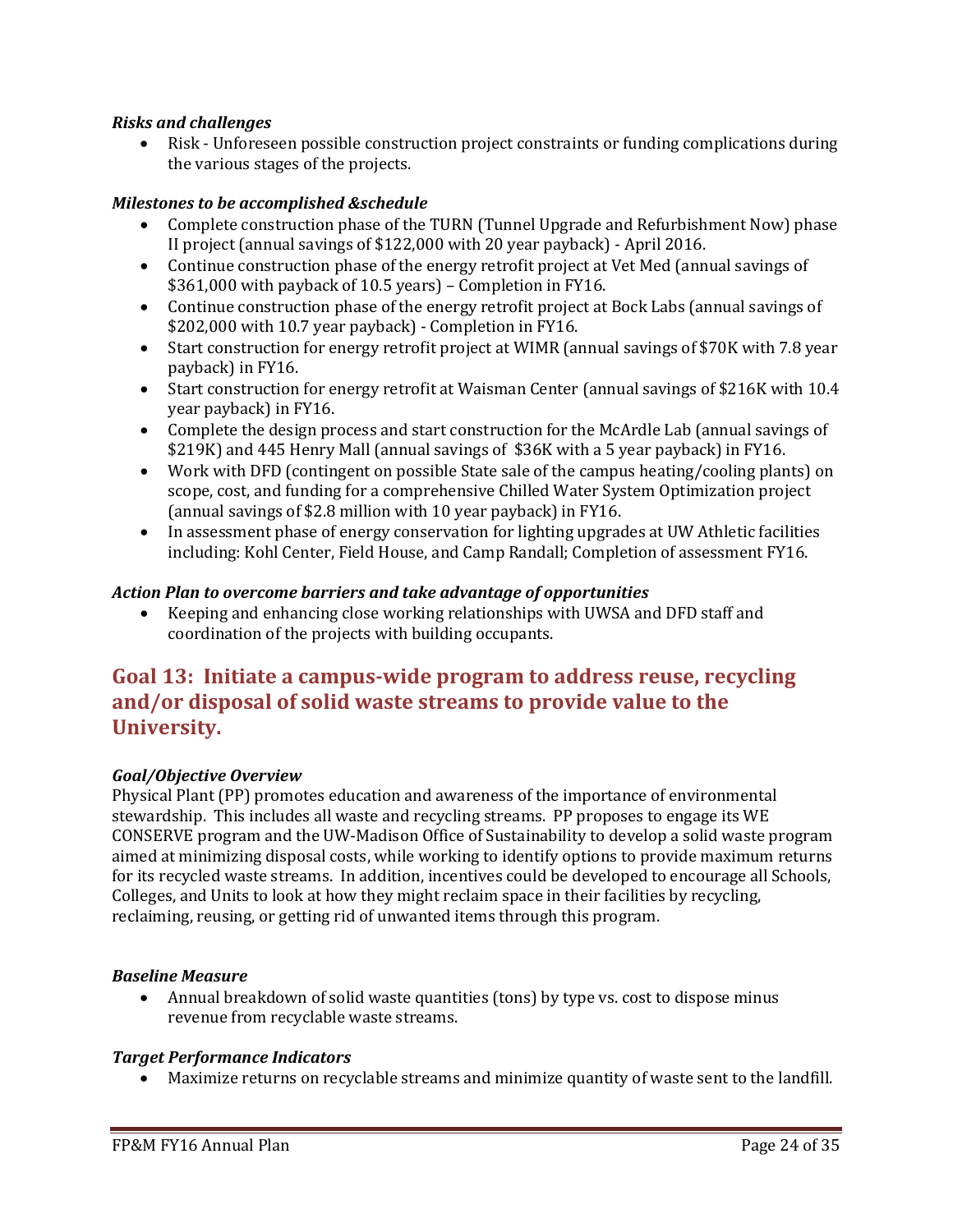## *Risks and challenges*

• Risk - Unforeseen possible construction project constraints or funding complications during the various stages of the projects.

## *Milestones to be accomplished &schedule*

- Complete construction phase of the TURN (Tunnel Upgrade and Refurbishment Now) phase II project (annual savings of \$122,000 with 20 year payback) - April 2016.
- Continue construction phase of the energy retrofit project at Vet Med (annual savings of \$361,000 with payback of 10.5 years) – Completion in FY16.
- Continue construction phase of the energy retrofit project at Bock Labs (annual savings of \$202,000 with 10.7 year payback) - Completion in FY16.
- Start construction for energy retrofit project at WIMR (annual savings of \$70K with 7.8 year payback) in FY16.
- Start construction for energy retrofit at Waisman Center (annual savings of \$216K with 10.4 year payback) in FY16.
- Complete the design process and start construction for the McArdle Lab (annual savings of \$219K) and 445 Henry Mall (annual savings of \$36K with a 5 year payback) in FY16.
- Work with DFD (contingent on possible State sale of the campus heating/cooling plants) on scope, cost, and funding for a comprehensive Chilled Water System Optimization project (annual savings of \$2.8 million with 10 year payback) in FY16.
- In assessment phase of energy conservation for lighting upgrades at UW Athletic facilities including: Kohl Center, Field House, and Camp Randall; Completion of assessment FY16.

### *Action Plan to overcome barriers and take advantage of opportunities*

• Keeping and enhancing close working relationships with UWSA and DFD staff and coordination of the projects with building occupants.

# **Goal 13: Initiate a campus-wide program to address reuse, recycling and/or disposal of solid waste streams to provide value to the University.**

### *Goal/Objective Overview*

Physical Plant (PP) promotes education and awareness of the importance of environmental stewardship. This includes all waste and recycling streams. PP proposes to engage its WE CONSERVE program and the UW-Madison Office of Sustainability to develop a solid waste program aimed at minimizing disposal costs, while working to identify options to provide maximum returns for its recycled waste streams. In addition, incentives could be developed to encourage all Schools, Colleges, and Units to look at how they might reclaim space in their facilities by recycling, reclaiming, reusing, or getting rid of unwanted items through this program.

### *Baseline Measure*

• Annual breakdown of solid waste quantities (tons) by type vs. cost to dispose minus revenue from recyclable waste streams.

### *Target Performance Indicators*

• Maximize returns on recyclable streams and minimize quantity of waste sent to the landfill.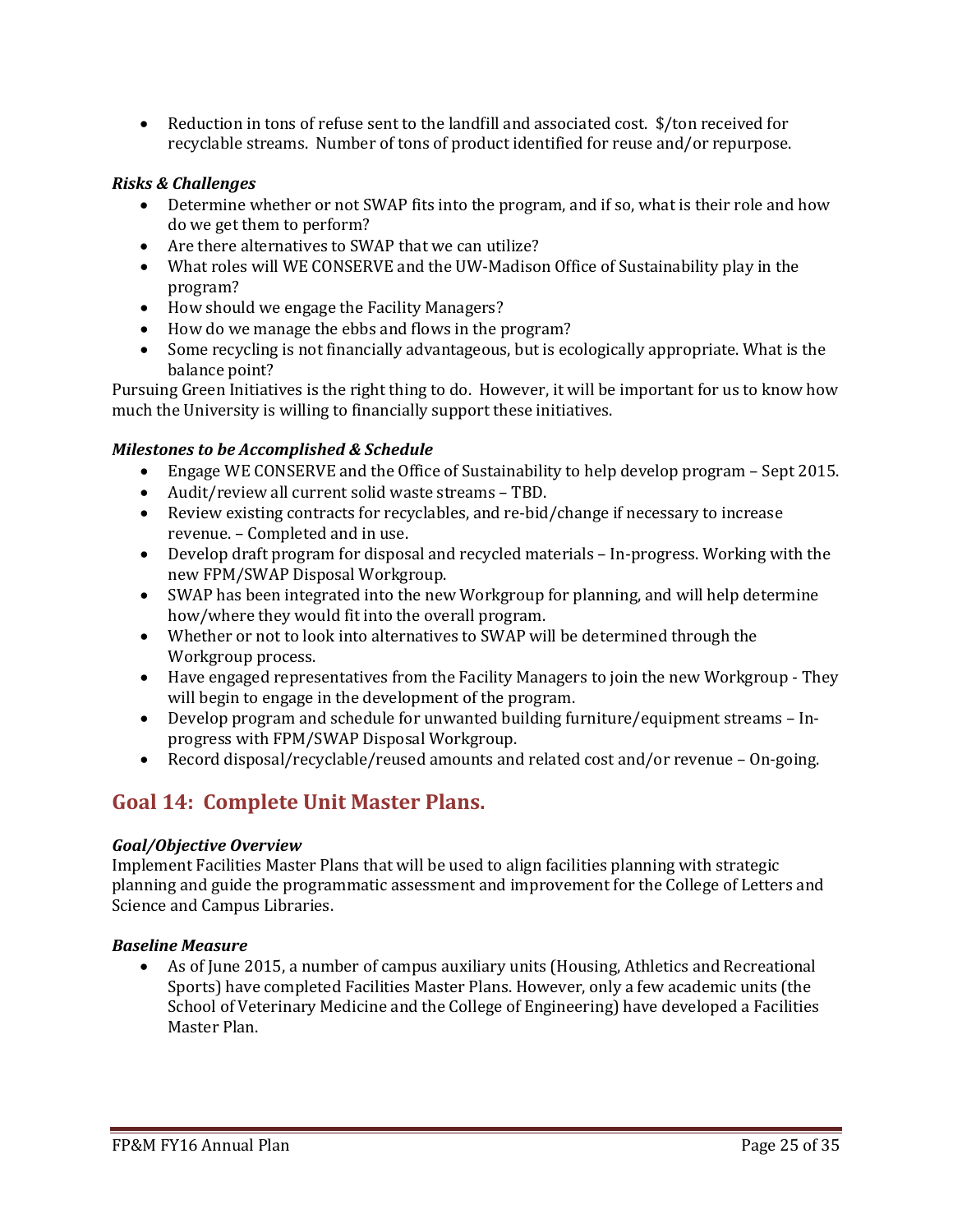• Reduction in tons of refuse sent to the landfill and associated cost. \$/ton received for recyclable streams. Number of tons of product identified for reuse and/or repurpose.

#### *Risks & Challenges*

- Determine whether or not SWAP fits into the program, and if so, what is their role and how do we get them to perform?
- Are there alternatives to SWAP that we can utilize?
- What roles will WE CONSERVE and the UW-Madison Office of Sustainability play in the program?
- How should we engage the Facility Managers?
- How do we manage the ebbs and flows in the program?
- Some recycling is not financially advantageous, but is ecologically appropriate. What is the balance point?

Pursuing Green Initiatives is the right thing to do. However, it will be important for us to know how much the University is willing to financially support these initiatives.

#### *Milestones to be Accomplished & Schedule*

- Engage WE CONSERVE and the Office of Sustainability to help develop program Sept 2015.
- Audit/review all current solid waste streams TBD.
- Review existing contracts for recyclables, and re-bid/change if necessary to increase revenue. – Completed and in use.
- Develop draft program for disposal and recycled materials In-progress. Working with the new FPM/SWAP Disposal Workgroup.
- SWAP has been integrated into the new Workgroup for planning, and will help determine how/where they would fit into the overall program.
- Whether or not to look into alternatives to SWAP will be determined through the Workgroup process.
- Have engaged representatives from the Facility Managers to join the new Workgroup They will begin to engage in the development of the program.
- Develop program and schedule for unwanted building furniture/equipment streams Inprogress with FPM/SWAP Disposal Workgroup.
- Record disposal/recyclable/reused amounts and related cost and/or revenue On-going.

# **Goal 14: Complete Unit Master Plans.**

#### *Goal/Objective Overview*

Implement Facilities Master Plans that will be used to align facilities planning with strategic planning and guide the programmatic assessment and improvement for the College of Letters and Science and Campus Libraries.

#### *Baseline Measure*

• As of June 2015, a number of campus auxiliary units (Housing, Athletics and Recreational Sports) have completed Facilities Master Plans. However, only a few academic units (the School of Veterinary Medicine and the College of Engineering) have developed a Facilities Master Plan.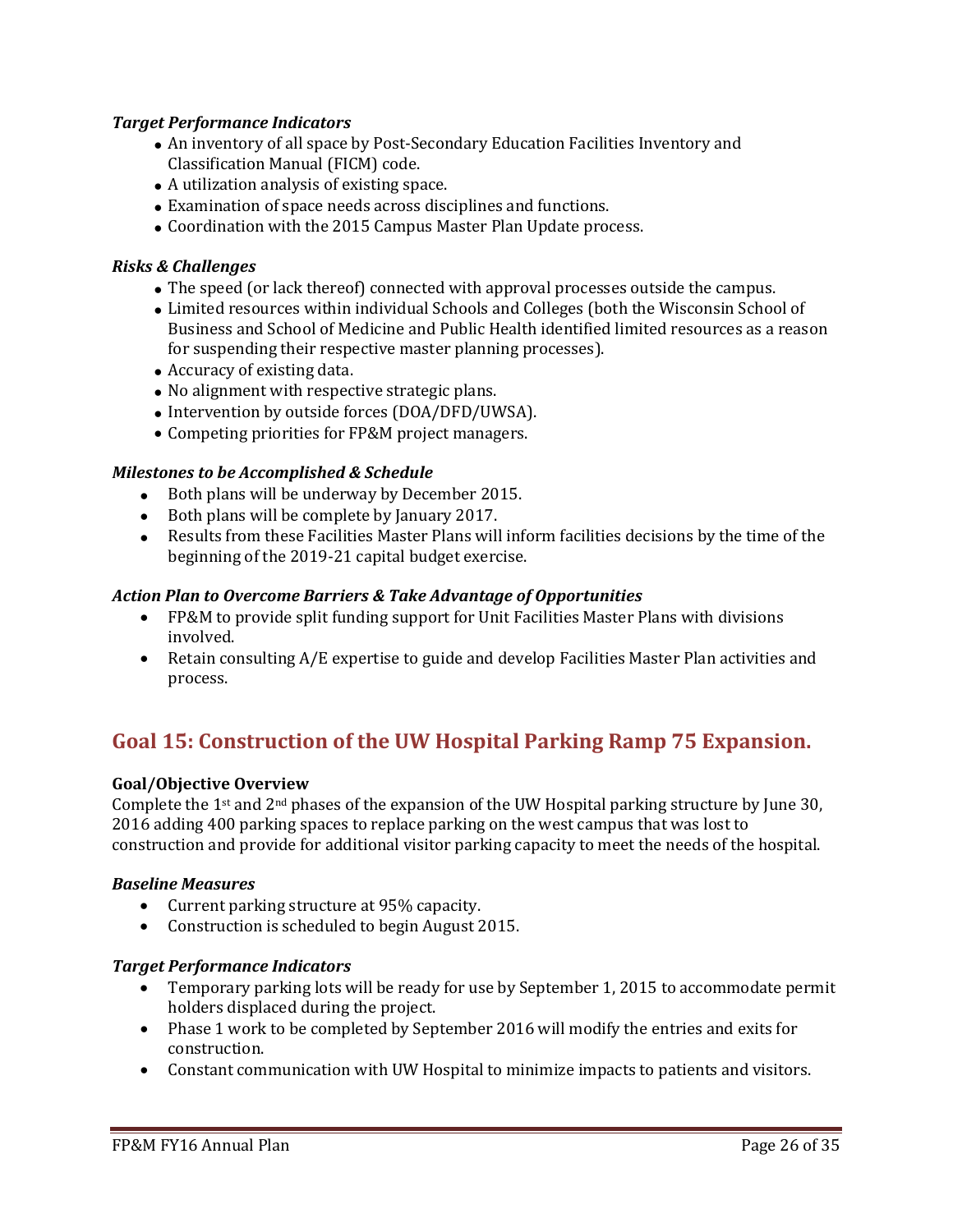## *Target Performance Indicators*

- An inventory of all space by Post-Secondary Education Facilities Inventory and Classification Manual (FICM) code.
- A utilization analysis of existing space.
- Examination of space needs across disciplines and functions.
- Coordination with the 2015 Campus Master Plan Update process.

### *Risks & Challenges*

- The speed (or lack thereof) connected with approval processes outside the campus.
- Limited resources within individual Schools and Colleges (both the Wisconsin School of Business and School of Medicine and Public Health identified limited resources as a reason for suspending their respective master planning processes).
- Accuracy of existing data.
- No alignment with respective strategic plans.
- Intervention by outside forces (DOA/DFD/UWSA).
- Competing priorities for FP&M project managers.

#### *Milestones to be Accomplished & Schedule*

- Both plans will be underway by December 2015.
- Both plans will be complete by January 2017.
- Results from these Facilities Master Plans will inform facilities decisions by the time of the beginning of the 2019-21 capital budget exercise.

#### *Action Plan to Overcome Barriers & Take Advantage of Opportunities*

- FP&M to provide split funding support for Unit Facilities Master Plans with divisions involved.
- Retain consulting A/E expertise to guide and develop Facilities Master Plan activities and process.

# **Goal 15: Construction of the UW Hospital Parking Ramp 75 Expansion.**

#### **Goal/Objective Overview**

Complete the 1st and 2nd phases of the expansion of the UW Hospital parking structure by June 30, 2016 adding 400 parking spaces to replace parking on the west campus that was lost to construction and provide for additional visitor parking capacity to meet the needs of the hospital.

#### *Baseline Measures*

- Current parking structure at 95% capacity.
- Construction is scheduled to begin August 2015.

#### *Target Performance Indicators*

- Temporary parking lots will be ready for use by September 1, 2015 to accommodate permit holders displaced during the project.
- Phase 1 work to be completed by September 2016 will modify the entries and exits for construction.
- Constant communication with UW Hospital to minimize impacts to patients and visitors.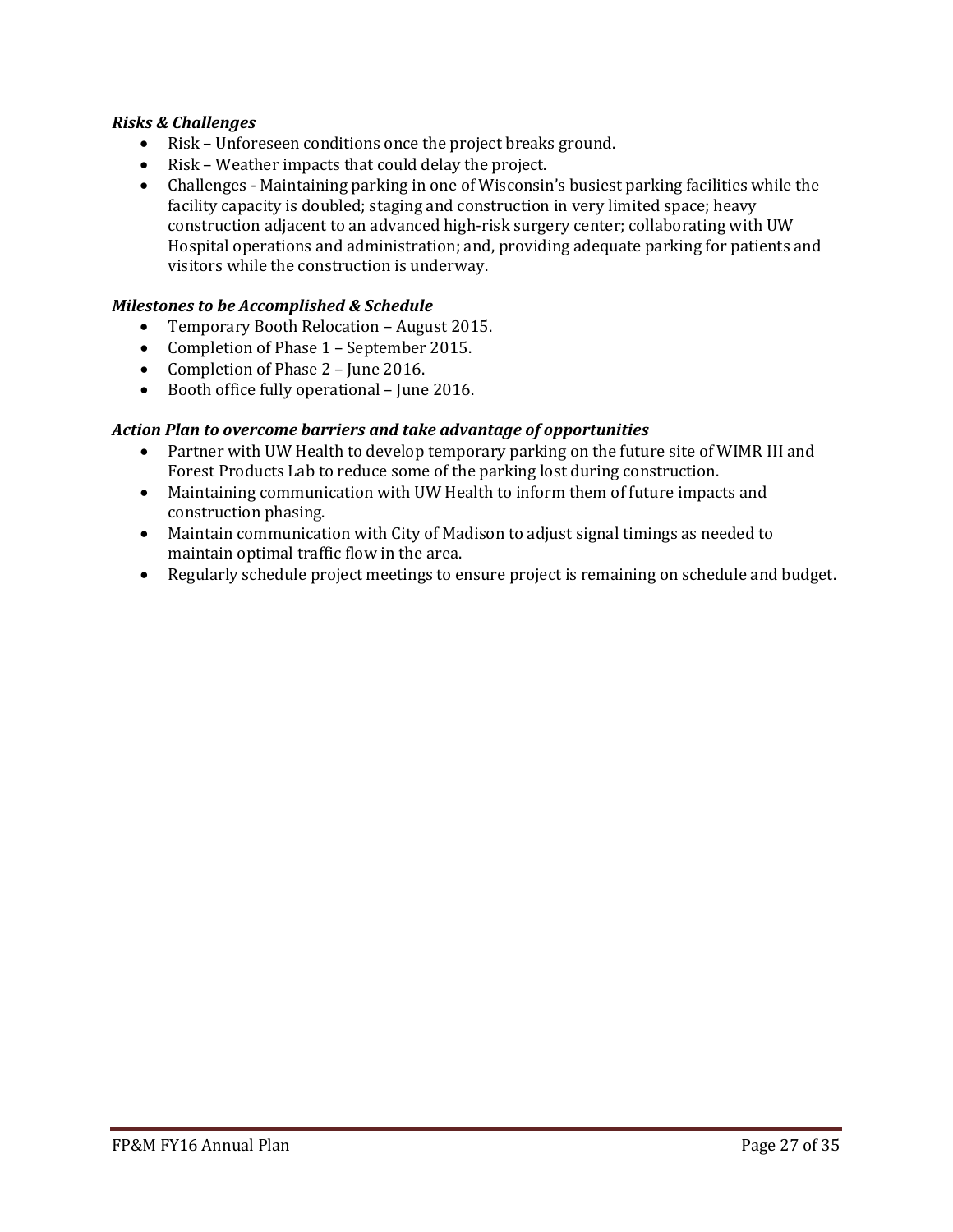## *Risks & Challenges*

- Risk Unforeseen conditions once the project breaks ground.
- Risk Weather impacts that could delay the project.
- Challenges Maintaining parking in one of Wisconsin's busiest parking facilities while the facility capacity is doubled; staging and construction in very limited space; heavy construction adjacent to an advanced high-risk surgery center; collaborating with UW Hospital operations and administration; and, providing adequate parking for patients and visitors while the construction is underway.

#### *Milestones to be Accomplished & Schedule*

- Temporary Booth Relocation August 2015.
- Completion of Phase 1 September 2015.
- Completion of Phase 2 June 2016.
- Booth office fully operational June 2016.

#### *Action Plan to overcome barriers and take advantage of opportunities*

- Partner with UW Health to develop temporary parking on the future site of WIMR III and Forest Products Lab to reduce some of the parking lost during construction.
- Maintaining communication with UW Health to inform them of future impacts and construction phasing.
- Maintain communication with City of Madison to adjust signal timings as needed to maintain optimal traffic flow in the area.
- Regularly schedule project meetings to ensure project is remaining on schedule and budget.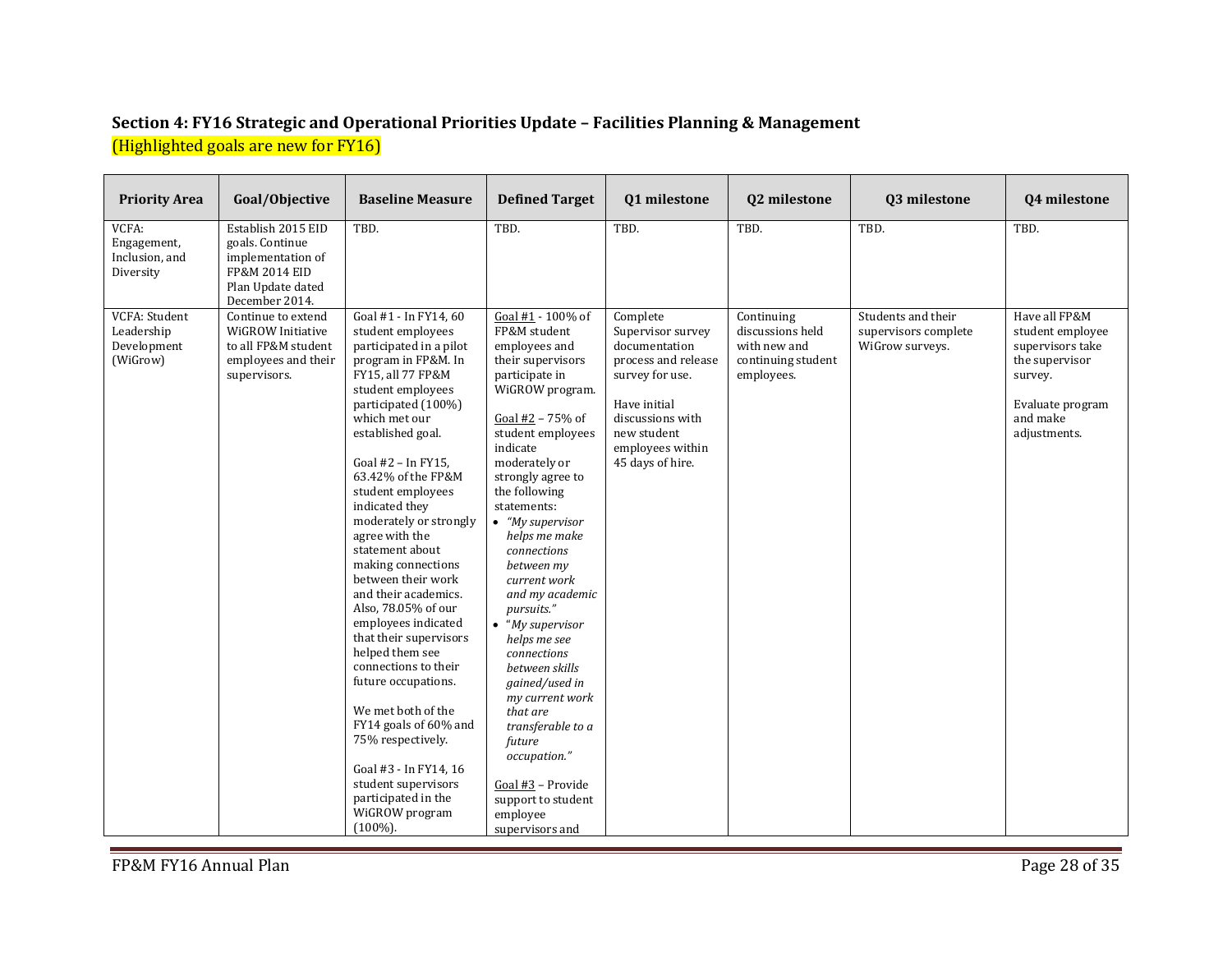# **Section 4: FY16 Strategic and Operational Priorities Update – Facilities Planning & Management**  (Highlighted goals are new for FY16)

| <b>Priority Area</b>                                   | Goal/Objective                                                                                                     | <b>Baseline Measure</b>                                                                                                                                                                                                                                                                                                                                                                                                                                                                                                                                                                                                                                                                                                                         | <b>Defined Target</b>                                                                                                                                                                                                                                                                                                                                                                                                                                                                                                                                                                                                      | 01 milestone                                                                                                                                                                        | Q2 milestone                                                                       | 03 milestone                                                  | 04 milestone                                                                                                                       |
|--------------------------------------------------------|--------------------------------------------------------------------------------------------------------------------|-------------------------------------------------------------------------------------------------------------------------------------------------------------------------------------------------------------------------------------------------------------------------------------------------------------------------------------------------------------------------------------------------------------------------------------------------------------------------------------------------------------------------------------------------------------------------------------------------------------------------------------------------------------------------------------------------------------------------------------------------|----------------------------------------------------------------------------------------------------------------------------------------------------------------------------------------------------------------------------------------------------------------------------------------------------------------------------------------------------------------------------------------------------------------------------------------------------------------------------------------------------------------------------------------------------------------------------------------------------------------------------|-------------------------------------------------------------------------------------------------------------------------------------------------------------------------------------|------------------------------------------------------------------------------------|---------------------------------------------------------------|------------------------------------------------------------------------------------------------------------------------------------|
| VCFA:<br>Engagement,<br>Inclusion, and<br>Diversity    | Establish 2015 EID<br>goals. Continue<br>implementation of<br>FP&M 2014 EID<br>Plan Update dated<br>December 2014. | TBD.                                                                                                                                                                                                                                                                                                                                                                                                                                                                                                                                                                                                                                                                                                                                            | TBD.                                                                                                                                                                                                                                                                                                                                                                                                                                                                                                                                                                                                                       | TBD.                                                                                                                                                                                | TBD.                                                                               | TBD.                                                          | TBD.                                                                                                                               |
| VCFA: Student<br>Leadership<br>Development<br>(WiGrow) | Continue to extend<br>WiGROW Initiative<br>to all FP&M student<br>employees and their<br>supervisors.              | Goal #1 - In FY14, 60<br>student employees<br>participated in a pilot<br>program in FP&M. In<br>FY15, all 77 FP&M<br>student employees<br>participated (100%)<br>which met our<br>established goal.<br>Goal #2 - In FY15,<br>63.42% of the FP&M<br>student employees<br>indicated they<br>moderately or strongly<br>agree with the<br>statement about<br>making connections<br>between their work<br>and their academics.<br>Also, 78.05% of our<br>employees indicated<br>that their supervisors<br>helped them see<br>connections to their<br>future occupations.<br>We met both of the<br>FY14 goals of 60% and<br>75% respectively.<br>Goal #3 - In FY14, 16<br>student supervisors<br>participated in the<br>WiGROW program<br>$(100\%)$ . | Goal #1 - 100% of<br>FP&M student<br>employees and<br>their supervisors<br>participate in<br>WiGROW program.<br>Goal #2 - 75% of<br>student employees<br>indicate<br>moderately or<br>strongly agree to<br>the following<br>statements:<br>$\bullet$ "My supervisor<br>helps me make<br>connections<br>between my<br>current work<br>and my academic<br>pursuits."<br>$\bullet$ "My supervisor"<br>helps me see<br>connections<br>between skills<br>gained/used in<br>my current work<br>that are<br>transferable to a<br>future<br>occupation."<br>Goal #3 - Provide<br>support to student<br>employee<br>supervisors and | Complete<br>Supervisor survey<br>documentation<br>process and release<br>survey for use.<br>Have initial<br>discussions with<br>new student<br>employees within<br>45 days of hire. | Continuing<br>discussions held<br>with new and<br>continuing student<br>employees. | Students and their<br>supervisors complete<br>WiGrow surveys. | Have all FP&M<br>student employee<br>supervisors take<br>the supervisor<br>survey.<br>Evaluate program<br>and make<br>adjustments. |

FP&M FY16 Annual Plan Page 28 of 35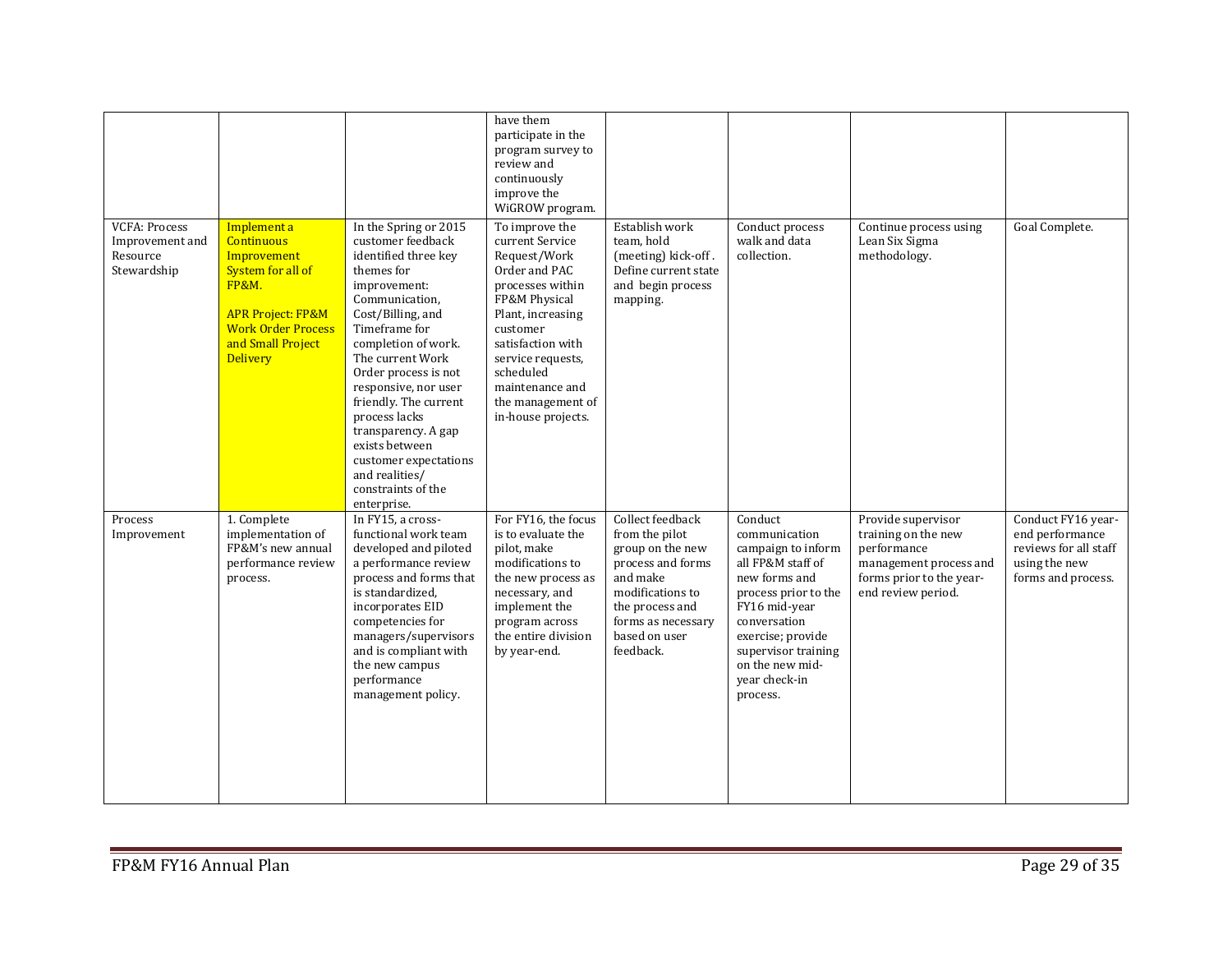|                                                                    |                                                                                                                                                                                               |                                                                                                                                                                                                                                                                                                                                                                                                                        | have them<br>participate in the<br>program survey to<br>review and<br>continuously<br>improve the<br>WiGROW program.                                                                                                                                          |                                                                                                                                                                                    |                                                                                                                                                                                                                                           |                                                                                                                                      |                                                                                                       |
|--------------------------------------------------------------------|-----------------------------------------------------------------------------------------------------------------------------------------------------------------------------------------------|------------------------------------------------------------------------------------------------------------------------------------------------------------------------------------------------------------------------------------------------------------------------------------------------------------------------------------------------------------------------------------------------------------------------|---------------------------------------------------------------------------------------------------------------------------------------------------------------------------------------------------------------------------------------------------------------|------------------------------------------------------------------------------------------------------------------------------------------------------------------------------------|-------------------------------------------------------------------------------------------------------------------------------------------------------------------------------------------------------------------------------------------|--------------------------------------------------------------------------------------------------------------------------------------|-------------------------------------------------------------------------------------------------------|
| <b>VCFA: Process</b><br>Improvement and<br>Resource<br>Stewardship | Implement a<br><b>Continuous</b><br>Improvement<br>System for all of<br><b>FP&amp;M.</b><br><b>APR Project: FP&amp;M</b><br><b>Work Order Process</b><br>and Small Project<br><b>Delivery</b> | In the Spring or 2015<br>customer feedback<br>identified three key<br>themes for<br>improvement:<br>Communication,<br>Cost/Billing, and<br>Timeframe for<br>completion of work.<br>The current Work<br>Order process is not<br>responsive, nor user<br>friendly. The current<br>process lacks<br>transparency. A gap<br>exists between<br>customer expectations<br>and realities/<br>constraints of the<br>enterprise. | To improve the<br>current Service<br>Request/Work<br>Order and PAC<br>processes within<br>FP&M Physical<br>Plant, increasing<br>customer<br>satisfaction with<br>service requests,<br>scheduled<br>maintenance and<br>the management of<br>in-house projects. | Establish work<br>team, hold<br>(meeting) kick-off.<br>Define current state<br>and begin process<br>mapping.                                                                       | Conduct process<br>walk and data<br>collection.                                                                                                                                                                                           | Continue process using<br>Lean Six Sigma<br>methodology.                                                                             | Goal Complete.                                                                                        |
| Process<br>Improvement                                             | 1. Complete<br>implementation of<br>FP&M's new annual<br>performance review<br>process.                                                                                                       | In FY15, a cross-<br>functional work team<br>developed and piloted<br>a performance review<br>process and forms that<br>is standardized,<br>incorporates EID<br>competencies for<br>managers/supervisors<br>and is compliant with<br>the new campus<br>performance<br>management policy.                                                                                                                               | For FY16, the focus<br>is to evaluate the<br>pilot, make<br>modifications to<br>the new process as<br>necessary, and<br>implement the<br>program across<br>the entire division<br>by year-end.                                                                | Collect feedback<br>from the pilot<br>group on the new<br>process and forms<br>and make<br>modifications to<br>the process and<br>forms as necessary<br>based on user<br>feedback. | Conduct<br>communication<br>campaign to inform<br>all FP&M staff of<br>new forms and<br>process prior to the<br>FY16 mid-year<br>conversation<br>exercise; provide<br>supervisor training<br>on the new mid-<br>year check-in<br>process. | Provide supervisor<br>training on the new<br>performance<br>management process and<br>forms prior to the year-<br>end review period. | Conduct FY16 year-<br>end performance<br>reviews for all staff<br>using the new<br>forms and process. |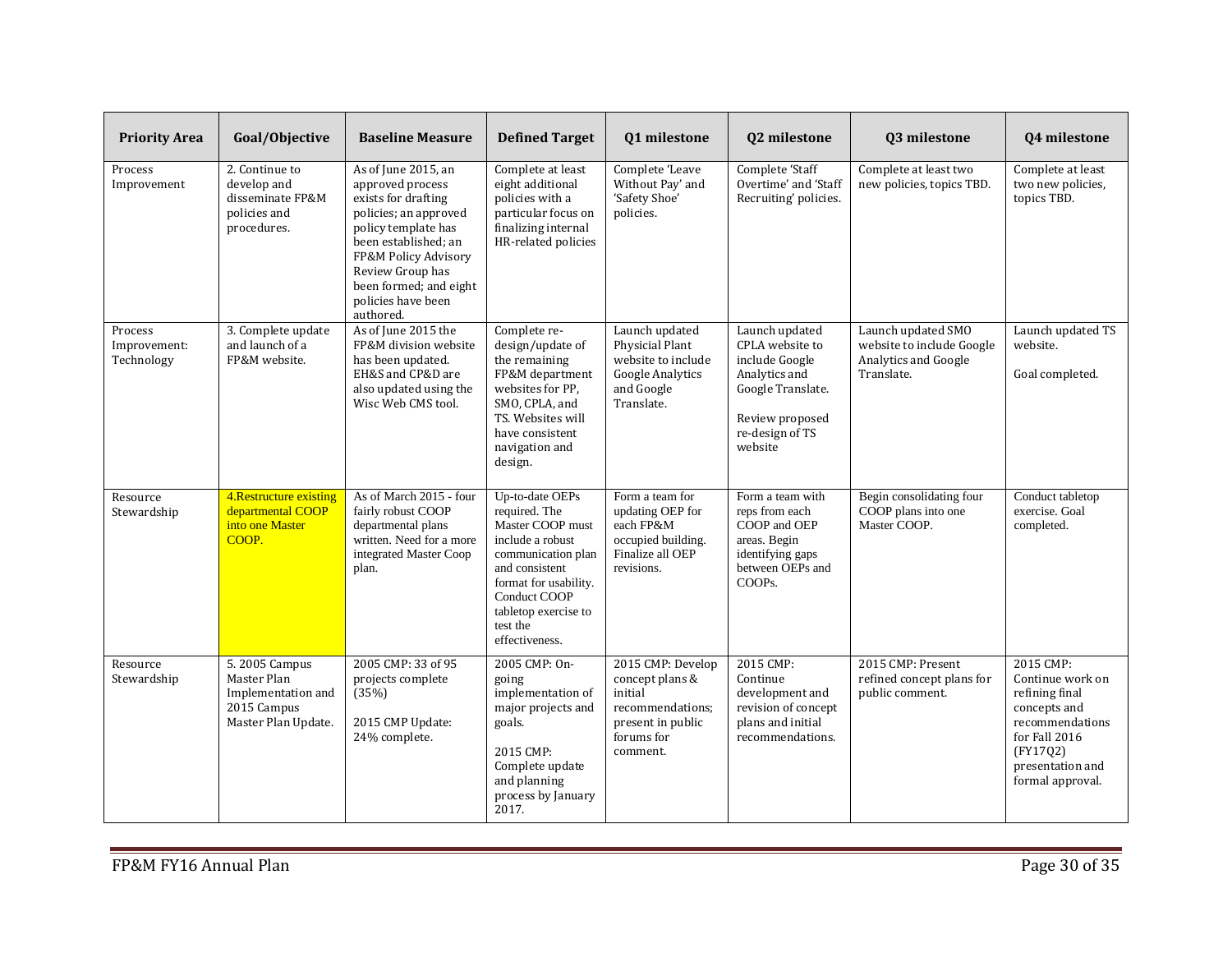| <b>Priority Area</b>                  | Goal/Objective                                                                            | <b>Baseline Measure</b>                                                                                                                                                                                                                         | <b>Defined Target</b>                                                                                                                                                                                           | Q1 milestone                                                                                                       | Q2 milestone                                                                                                                               | Q3 milestone                                                                          | Q4 milestone                                                                                                                                            |
|---------------------------------------|-------------------------------------------------------------------------------------------|-------------------------------------------------------------------------------------------------------------------------------------------------------------------------------------------------------------------------------------------------|-----------------------------------------------------------------------------------------------------------------------------------------------------------------------------------------------------------------|--------------------------------------------------------------------------------------------------------------------|--------------------------------------------------------------------------------------------------------------------------------------------|---------------------------------------------------------------------------------------|---------------------------------------------------------------------------------------------------------------------------------------------------------|
| Process<br>Improvement                | 2. Continue to<br>develop and<br>disseminate FP&M<br>policies and<br>procedures.          | As of June 2015, an<br>approved process<br>exists for drafting<br>policies; an approved<br>policy template has<br>been established; an<br>FP&M Policy Advisory<br>Review Group has<br>been formed; and eight<br>policies have been<br>authored. | Complete at least<br>eight additional<br>policies with a<br>particular focus on<br>finalizing internal<br>HR-related policies                                                                                   | Complete 'Leave<br>Without Pay' and<br>'Safety Shoe'<br>policies.                                                  | Complete 'Staff<br>Overtime' and 'Staff<br>Recruiting' policies.                                                                           | Complete at least two<br>new policies, topics TBD.                                    | Complete at least<br>two new policies,<br>topics TBD.                                                                                                   |
| Process<br>Improvement:<br>Technology | 3. Complete update<br>and launch of a<br>FP&M website.                                    | As of June 2015 the<br>FP&M division website<br>has been updated.<br>EH&S and CP&D are<br>also updated using the<br>Wisc Web CMS tool.                                                                                                          | Complete re-<br>design/update of<br>the remaining<br>FP&M department<br>websites for PP.<br>SMO, CPLA, and<br>TS. Websites will<br>have consistent<br>navigation and<br>design.                                 | Launch updated<br>Physicial Plant<br>website to include<br><b>Google Analytics</b><br>and Google<br>Translate.     | Launch updated<br>CPLA website to<br>include Google<br>Analytics and<br>Google Translate.<br>Review proposed<br>re-design of TS<br>website | Launch updated SMO<br>website to include Google<br>Analytics and Google<br>Translate. | Launch updated TS<br>website.<br>Goal completed.                                                                                                        |
| Resource<br>Stewardship               | 4. Restructure existing<br>departmental COOP<br>into one Master<br>COOP.                  | As of March 2015 - four<br>fairly robust COOP<br>departmental plans<br>written. Need for a more<br>integrated Master Coop<br>plan.                                                                                                              | Up-to-date OEPs<br>required. The<br>Master COOP must<br>include a robust<br>communication plan<br>and consistent<br>format for usability.<br>Conduct COOP<br>tabletop exercise to<br>test the<br>effectiveness. | Form a team for<br>updating OEP for<br>each FP&M<br>occupied building.<br>Finalize all OEP<br>revisions.           | Form a team with<br>reps from each<br>COOP and OEP<br>areas. Begin<br>identifying gaps<br>between OEPs and<br>COOPs.                       | Begin consolidating four<br>COOP plans into one<br>Master COOP.                       | Conduct tabletop<br>exercise. Goal<br>completed.                                                                                                        |
| Resource<br>Stewardship               | 5. 2005 Campus<br>Master Plan<br>Implementation and<br>2015 Campus<br>Master Plan Update. | 2005 CMP: 33 of 95<br>projects complete<br>(35%)<br>2015 CMP Update:<br>24% complete.                                                                                                                                                           | 2005 CMP: On-<br>going<br>implementation of<br>major projects and<br>goals.<br>2015 CMP:<br>Complete update<br>and planning<br>process by January<br>2017.                                                      | 2015 CMP: Develop<br>concept plans &<br>initial<br>recommendations;<br>present in public<br>forums for<br>comment. | 2015 CMP:<br>Continue<br>development and<br>revision of concept<br>plans and initial<br>recommendations.                                   | 2015 CMP: Present<br>refined concept plans for<br>public comment.                     | 2015 CMP:<br>Continue work on<br>refining final<br>concepts and<br>recommendations<br>for Fall 2016<br>(FY1702)<br>presentation and<br>formal approval. |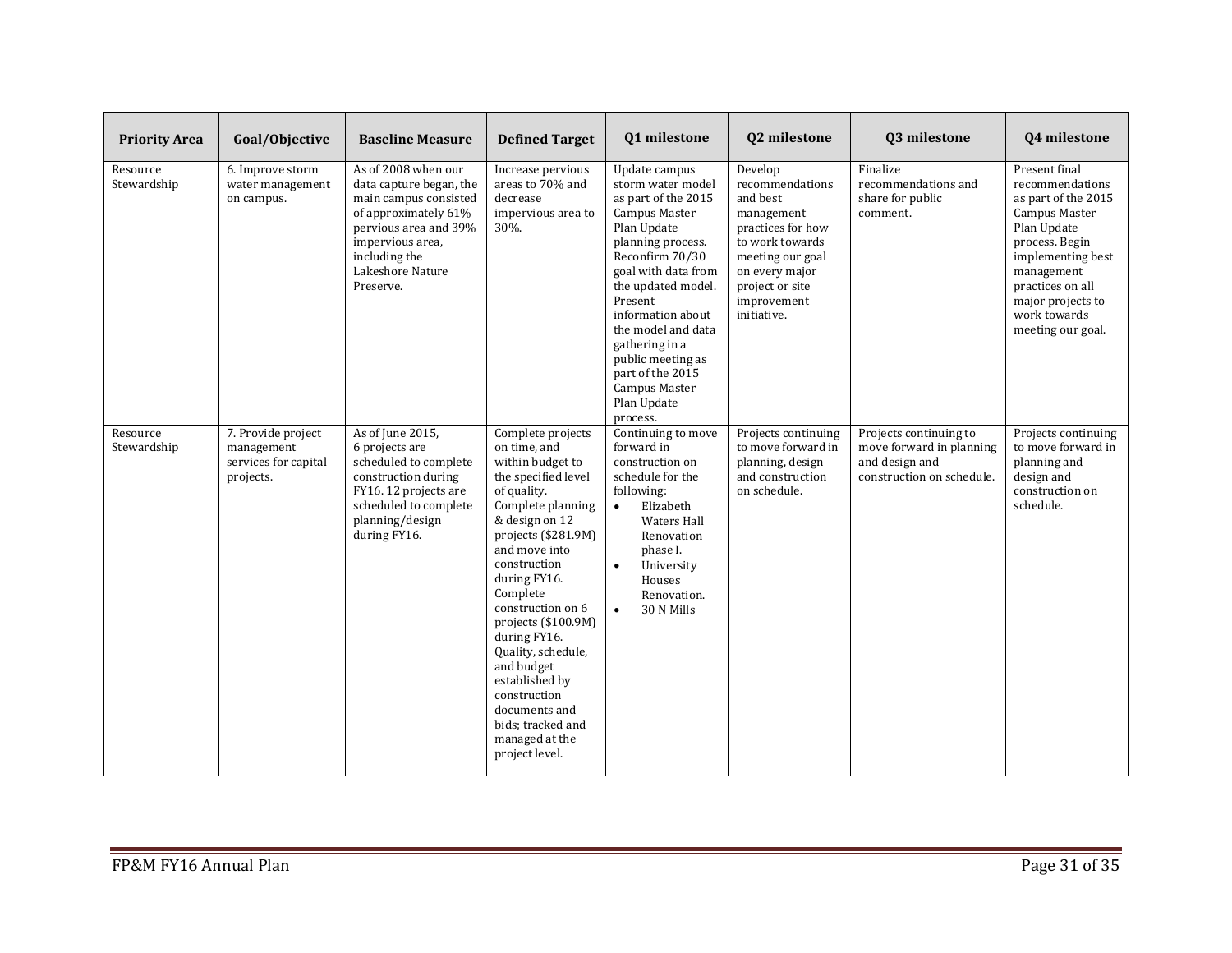| <b>Priority Area</b>    | Goal/Objective                                                        | <b>Baseline Measure</b>                                                                                                                                                                        | <b>Defined Target</b>                                                                                                                                                                                                                                                                                                                                                                                                                  | Q1 milestone                                                                                                                                                                                                                                                                                                                                | Q2 milestone                                                                                                                                                                        | Q3 milestone                                                                                      | Q4 milestone                                                                                                                                                                                                                      |
|-------------------------|-----------------------------------------------------------------------|------------------------------------------------------------------------------------------------------------------------------------------------------------------------------------------------|----------------------------------------------------------------------------------------------------------------------------------------------------------------------------------------------------------------------------------------------------------------------------------------------------------------------------------------------------------------------------------------------------------------------------------------|---------------------------------------------------------------------------------------------------------------------------------------------------------------------------------------------------------------------------------------------------------------------------------------------------------------------------------------------|-------------------------------------------------------------------------------------------------------------------------------------------------------------------------------------|---------------------------------------------------------------------------------------------------|-----------------------------------------------------------------------------------------------------------------------------------------------------------------------------------------------------------------------------------|
| Resource<br>Stewardship | 6. Improve storm<br>water management<br>on campus.                    | As of 2008 when our<br>data capture began, the<br>main campus consisted<br>of approximately 61%<br>pervious area and 39%<br>impervious area,<br>including the<br>Lakeshore Nature<br>Preserve. | Increase pervious<br>areas to 70% and<br>decrease<br>impervious area to<br>30%.                                                                                                                                                                                                                                                                                                                                                        | Update campus<br>storm water model<br>as part of the 2015<br>Campus Master<br>Plan Update<br>planning process.<br>Reconfirm 70/30<br>goal with data from<br>the updated model.<br>Present<br>information about<br>the model and data<br>gathering in a<br>public meeting as<br>part of the 2015<br>Campus Master<br>Plan Update<br>process. | Develop<br>recommendations<br>and best<br>management<br>practices for how<br>to work towards<br>meeting our goal<br>on every major<br>project or site<br>improvement<br>initiative. | Finalize<br>recommendations and<br>share for public<br>comment.                                   | Present final<br>recommendations<br>as part of the 2015<br><b>Campus Master</b><br>Plan Update<br>process. Begin<br>implementing best<br>management<br>practices on all<br>major projects to<br>work towards<br>meeting our goal. |
| Resource<br>Stewardship | 7. Provide project<br>management<br>services for capital<br>projects. | As of June 2015,<br>6 projects are<br>scheduled to complete<br>construction during<br>FY16. 12 projects are<br>scheduled to complete<br>planning/design<br>during FY16.                        | Complete projects<br>on time, and<br>within budget to<br>the specified level<br>of quality.<br>Complete planning<br>& design on 12<br>projects $(\$281.9M)$<br>and move into<br>construction<br>during FY16.<br>Complete<br>construction on 6<br>projects $(\$100.9M)$<br>during FY16.<br>Quality, schedule,<br>and budget<br>established by<br>construction<br>documents and<br>bids; tracked and<br>managed at the<br>project level. | Continuing to move<br>forward in<br>construction on<br>schedule for the<br>following:<br>Elizabeth<br>$\bullet$<br><b>Waters Hall</b><br>Renovation<br>phase I.<br>$\bullet$<br>University<br>Houses<br>Renovation.<br>30 N Mills<br>$\bullet$                                                                                              | Projects continuing<br>to move forward in<br>planning, design<br>and construction<br>on schedule.                                                                                   | Projects continuing to<br>move forward in planning<br>and design and<br>construction on schedule. | Projects continuing<br>to move forward in<br>planning and<br>design and<br>construction on<br>schedule.                                                                                                                           |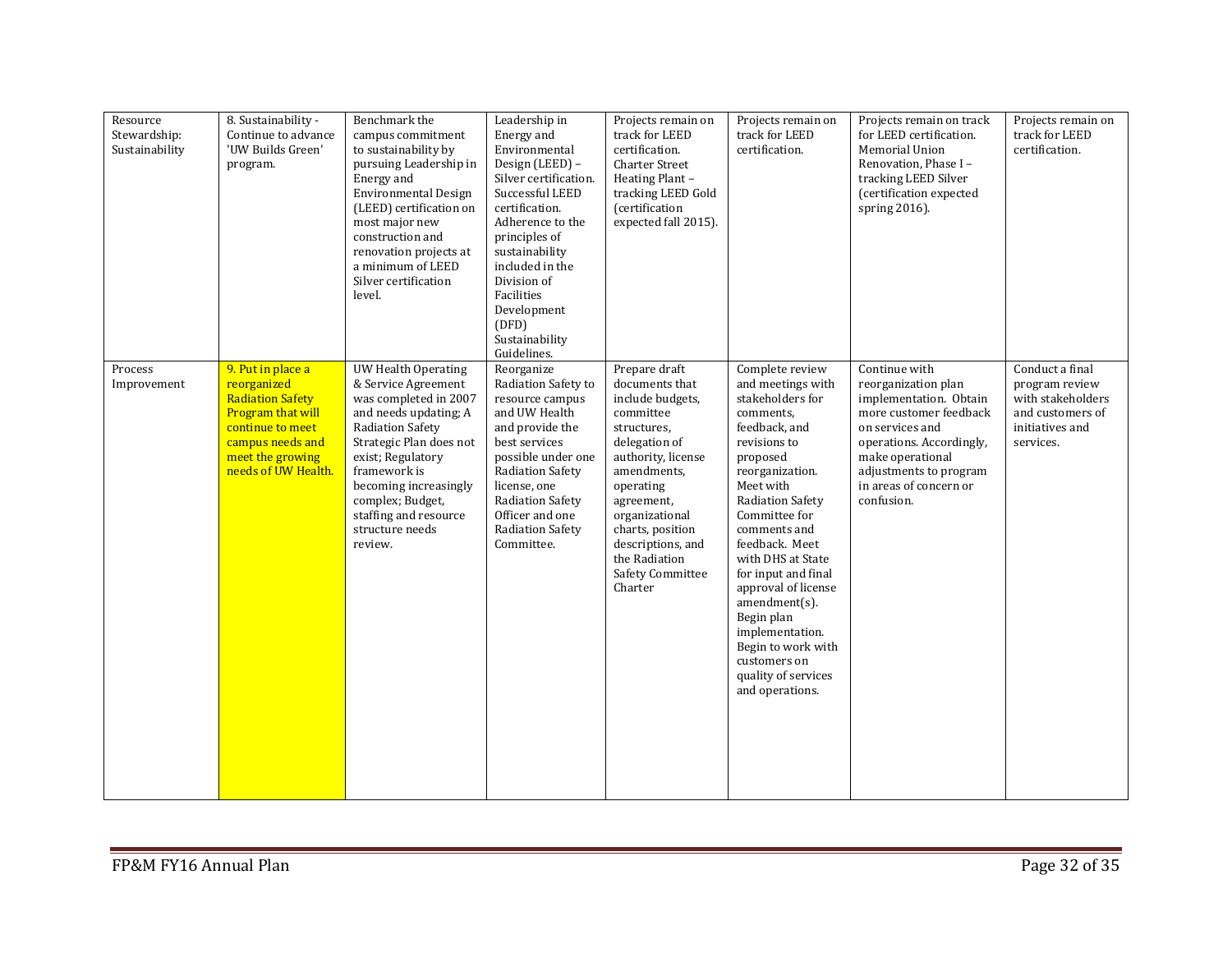| Resource<br>Stewardship:<br>Sustainability | 8. Sustainability -<br>Continue to advance<br>'UW Builds Green'<br>program.                                                                                         | Benchmark the<br>campus commitment<br>to sustainability by<br>pursuing Leadership in<br>Energy and<br><b>Environmental Design</b><br>(LEED) certification on<br>most major new<br>construction and<br>renovation projects at<br>a minimum of LEED<br>Silver certification<br>level.         | Leadership in<br>Energy and<br>Environmental<br>Design (LEED) -<br>Silver certification.<br>Successful LEED<br>certification.<br>Adherence to the<br>principles of<br>sustainability<br>included in the<br>Division of<br>Facilities<br>Development<br>(DFD)<br>Sustainability<br>Guidelines. | Projects remain on<br>track for LEED<br>certification.<br><b>Charter Street</b><br>Heating Plant -<br>tracking LEED Gold<br>(certification<br>expected fall 2015).                                                                                                          | Projects remain on<br>track for LEED<br>certification.                                                                                                                                                                                                                                                                                                                                                                            | Projects remain on track<br>for LEED certification.<br>Memorial Union<br>Renovation, Phase I -<br>tracking LEED Silver<br>(certification expected<br>spring 2016).                                                            | Projects remain on<br>track for LEED<br>certification.                                                     |
|--------------------------------------------|---------------------------------------------------------------------------------------------------------------------------------------------------------------------|---------------------------------------------------------------------------------------------------------------------------------------------------------------------------------------------------------------------------------------------------------------------------------------------|-----------------------------------------------------------------------------------------------------------------------------------------------------------------------------------------------------------------------------------------------------------------------------------------------|-----------------------------------------------------------------------------------------------------------------------------------------------------------------------------------------------------------------------------------------------------------------------------|-----------------------------------------------------------------------------------------------------------------------------------------------------------------------------------------------------------------------------------------------------------------------------------------------------------------------------------------------------------------------------------------------------------------------------------|-------------------------------------------------------------------------------------------------------------------------------------------------------------------------------------------------------------------------------|------------------------------------------------------------------------------------------------------------|
| Process<br>Improvement                     | 9. Put in place a<br>reorganized<br><b>Radiation Safety</b><br>Program that will<br>continue to meet<br>campus needs and<br>meet the growing<br>needs of UW Health. | <b>UW Health Operating</b><br>& Service Agreement<br>was completed in 2007<br>and needs updating; A<br>Radiation Safety<br>Strategic Plan does not<br>exist; Regulatory<br>framework is<br>becoming increasingly<br>complex; Budget,<br>staffing and resource<br>structure needs<br>review. | Reorganize<br>Radiation Safety to<br>resource campus<br>and UW Health<br>and provide the<br>best services<br>possible under one<br>Radiation Safety<br>license, one<br><b>Radiation Safety</b><br>Officer and one<br><b>Radiation Safety</b><br>Committee.                                    | Prepare draft<br>documents that<br>include budgets,<br>committee<br>structures,<br>delegation of<br>authority, license<br>amendments,<br>operating<br>agreement,<br>organizational<br>charts, position<br>descriptions, and<br>the Radiation<br>Safety Committee<br>Charter | Complete review<br>and meetings with<br>stakeholders for<br>comments,<br>feedback, and<br>revisions to<br>proposed<br>reorganization.<br>Meet with<br>Radiation Safety<br>Committee for<br>comments and<br>feedback. Meet<br>with DHS at State<br>for input and final<br>approval of license<br>$amendment(s)$ .<br>Begin plan<br>implementation.<br>Begin to work with<br>customers on<br>quality of services<br>and operations. | Continue with<br>reorganization plan<br>implementation. Obtain<br>more customer feedback<br>on services and<br>operations. Accordingly,<br>make operational<br>adjustments to program<br>in areas of concern or<br>confusion. | Conduct a final<br>program review<br>with stakeholders<br>and customers of<br>initiatives and<br>services. |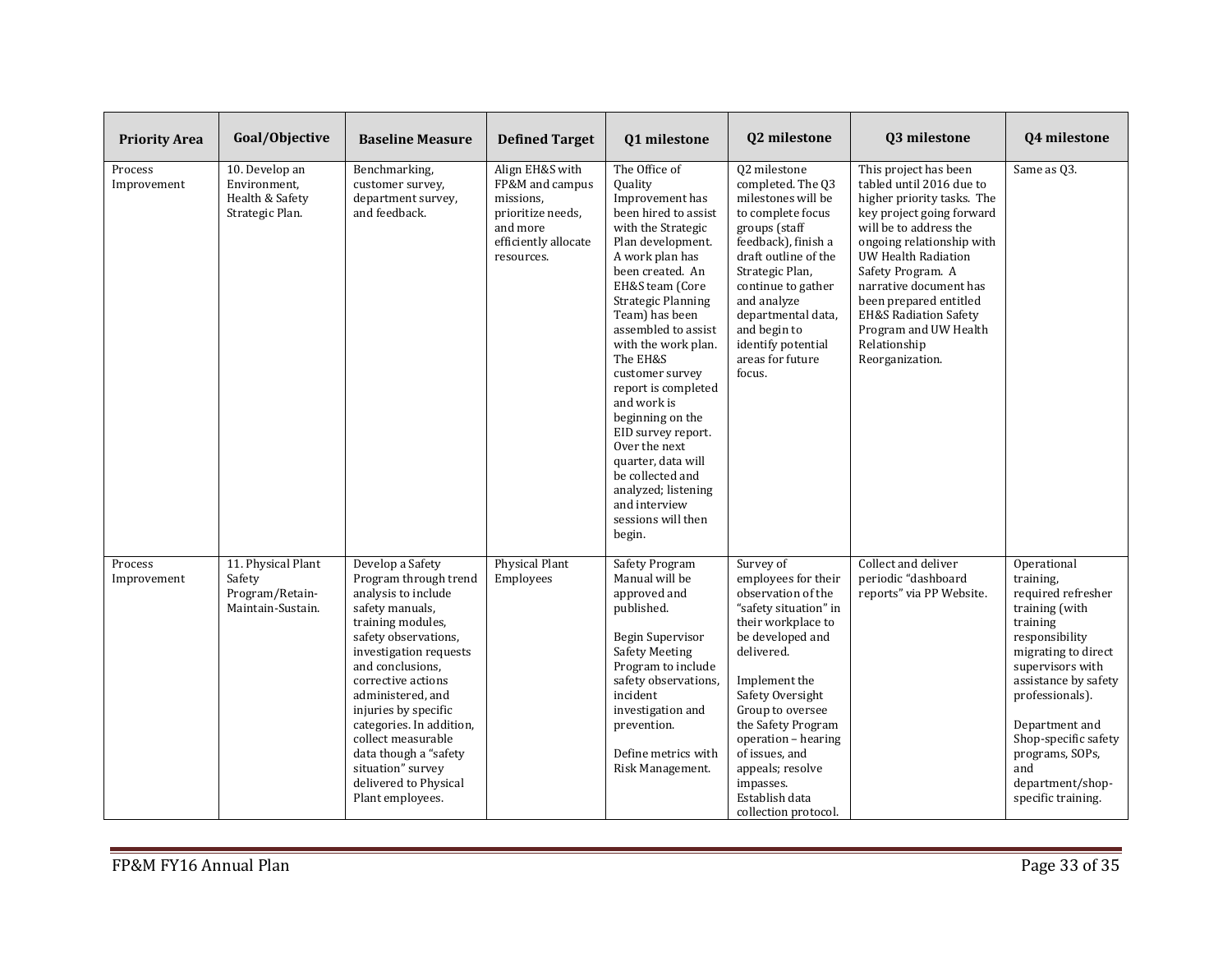| <b>Priority Area</b>   | Goal/Objective                                                       | <b>Baseline Measure</b>                                                                                                                                                                                                                                                                                                                                                                        | <b>Defined Target</b>                                                                                                  | Q1 milestone                                                                                                                                                                                                                                                                                                                                                                                                                                                                                                                   | Q2 milestone                                                                                                                                                                                                                                                                                                                               | Q3 milestone                                                                                                                                                                                                                                                                                                                                                               | Q4 milestone                                                                                                                                                                                                                                                                                       |
|------------------------|----------------------------------------------------------------------|------------------------------------------------------------------------------------------------------------------------------------------------------------------------------------------------------------------------------------------------------------------------------------------------------------------------------------------------------------------------------------------------|------------------------------------------------------------------------------------------------------------------------|--------------------------------------------------------------------------------------------------------------------------------------------------------------------------------------------------------------------------------------------------------------------------------------------------------------------------------------------------------------------------------------------------------------------------------------------------------------------------------------------------------------------------------|--------------------------------------------------------------------------------------------------------------------------------------------------------------------------------------------------------------------------------------------------------------------------------------------------------------------------------------------|----------------------------------------------------------------------------------------------------------------------------------------------------------------------------------------------------------------------------------------------------------------------------------------------------------------------------------------------------------------------------|----------------------------------------------------------------------------------------------------------------------------------------------------------------------------------------------------------------------------------------------------------------------------------------------------|
| Process<br>Improvement | 10. Develop an<br>Environment,<br>Health & Safety<br>Strategic Plan. | Benchmarking,<br>customer survey,<br>department survey,<br>and feedback.                                                                                                                                                                                                                                                                                                                       | Align EH&S with<br>FP&M and campus<br>missions.<br>prioritize needs,<br>and more<br>efficiently allocate<br>resources. | The Office of<br><b>Quality</b><br>Improvement has<br>been hired to assist<br>with the Strategic<br>Plan development.<br>A work plan has<br>been created. An<br>EH&S team (Core<br><b>Strategic Planning</b><br>Team) has been<br>assembled to assist<br>with the work plan.<br>The EH&S<br>customer survey<br>report is completed<br>and work is<br>beginning on the<br>EID survey report.<br>Over the next<br>quarter, data will<br>be collected and<br>analyzed; listening<br>and interview<br>sessions will then<br>begin. | 02 milestone<br>completed. The 03<br>milestones will be<br>to complete focus<br>groups (staff<br>feedback), finish a<br>draft outline of the<br>Strategic Plan,<br>continue to gather<br>and analyze<br>departmental data,<br>and begin to<br>identify potential<br>areas for future<br>focus.                                             | This project has been<br>tabled until 2016 due to<br>higher priority tasks. The<br>key project going forward<br>will be to address the<br>ongoing relationship with<br><b>UW Health Radiation</b><br>Safety Program. A<br>narrative document has<br>been prepared entitled<br><b>EH&amp;S Radiation Safety</b><br>Program and UW Health<br>Relationship<br>Reorganization. | Same as 03.                                                                                                                                                                                                                                                                                        |
| Process<br>Improvement | 11. Physical Plant<br>Safety<br>Program/Retain-<br>Maintain-Sustain. | Develop a Safety<br>Program through trend<br>analysis to include<br>safety manuals,<br>training modules,<br>safety observations,<br>investigation requests<br>and conclusions.<br>corrective actions<br>administered, and<br>injuries by specific<br>categories. In addition,<br>collect measurable<br>data though a "safety<br>situation" survey<br>delivered to Physical<br>Plant employees. | Physical Plant<br>Employees                                                                                            | Safety Program<br>Manual will be<br>approved and<br>published.<br>Begin Supervisor<br><b>Safety Meeting</b><br>Program to include<br>safety observations.<br>incident<br>investigation and<br>prevention.<br>Define metrics with<br>Risk Management.                                                                                                                                                                                                                                                                           | Survey of<br>employees for their<br>observation of the<br>"safety situation" in<br>their workplace to<br>be developed and<br>delivered.<br>Implement the<br>Safety Oversight<br>Group to oversee<br>the Safety Program<br>operation - hearing<br>of issues, and<br>appeals; resolve<br>impasses.<br>Establish data<br>collection protocol. | Collect and deliver<br>periodic "dashboard<br>reports" via PP Website.                                                                                                                                                                                                                                                                                                     | Operational<br>training.<br>required refresher<br>training (with<br>training<br>responsibility<br>migrating to direct<br>supervisors with<br>assistance by safety<br>professionals).<br>Department and<br>Shop-specific safety<br>programs, SOPs,<br>and<br>department/shop-<br>specific training. |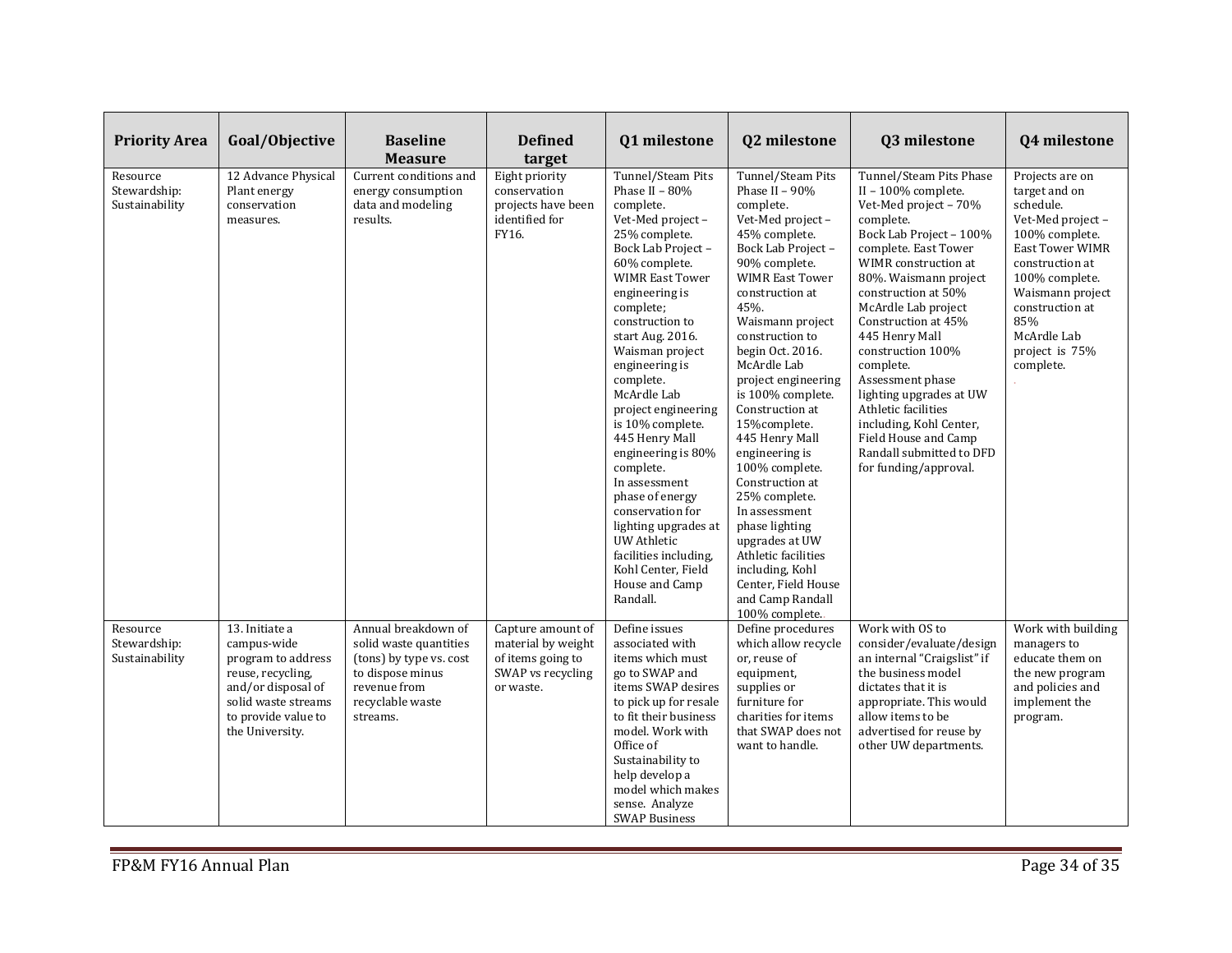| <b>Priority Area</b>                       | Goal/Objective                                                                                                                                                  | <b>Baseline</b><br><b>Measure</b>                                                                                                            | <b>Defined</b><br>target                                                                       | Q1 milestone                                                                                                                                                                                                                                                                                                                                                                                                                                                                                                                                                                     | Q2 milestone                                                                                                                                                                                                                                                                                                                                                                                                                                                                                                                                                                                      | Q3 milestone                                                                                                                                                                                                                                                                                                                                                                                                                                                                                    | <b>Q4 milestone</b>                                                                                                                                                                                                                            |
|--------------------------------------------|-----------------------------------------------------------------------------------------------------------------------------------------------------------------|----------------------------------------------------------------------------------------------------------------------------------------------|------------------------------------------------------------------------------------------------|----------------------------------------------------------------------------------------------------------------------------------------------------------------------------------------------------------------------------------------------------------------------------------------------------------------------------------------------------------------------------------------------------------------------------------------------------------------------------------------------------------------------------------------------------------------------------------|---------------------------------------------------------------------------------------------------------------------------------------------------------------------------------------------------------------------------------------------------------------------------------------------------------------------------------------------------------------------------------------------------------------------------------------------------------------------------------------------------------------------------------------------------------------------------------------------------|-------------------------------------------------------------------------------------------------------------------------------------------------------------------------------------------------------------------------------------------------------------------------------------------------------------------------------------------------------------------------------------------------------------------------------------------------------------------------------------------------|------------------------------------------------------------------------------------------------------------------------------------------------------------------------------------------------------------------------------------------------|
| Resource<br>Stewardship:<br>Sustainability | 12 Advance Physical<br>Plant energy<br>conservation<br>measures.                                                                                                | Current conditions and<br>energy consumption<br>data and modeling<br>results.                                                                | Eight priority<br>conservation<br>projects have been<br>identified for<br>FY16.                | Tunnel/Steam Pits<br>Phase II - 80%<br>complete.<br>Vet-Med project -<br>25% complete.<br>Bock Lab Project-<br>60% complete.<br><b>WIMR East Tower</b><br>engineering is<br>complete;<br>construction to<br>start Aug. 2016.<br>Waisman project<br>engineering is<br>complete.<br>McArdle Lab<br>project engineering<br>is 10% complete.<br>445 Henry Mall<br>engineering is 80%<br>complete.<br>In assessment<br>phase of energy<br>conservation for<br>lighting upgrades at<br><b>UW Athletic</b><br>facilities including.<br>Kohl Center, Field<br>House and Camp<br>Randall. | Tunnel/Steam Pits<br>Phase II - 90%<br>complete.<br>Vet-Med project -<br>45% complete.<br>Bock Lab Project -<br>90% complete.<br><b>WIMR East Tower</b><br>construction at<br>45%.<br>Waismann project<br>construction to<br>begin Oct. 2016.<br>McArdle Lab<br>project engineering<br>is 100% complete.<br>Construction at<br>15%complete.<br>445 Henry Mall<br>engineering is<br>100% complete.<br>Construction at<br>25% complete.<br>In assessment<br>phase lighting<br>upgrades at UW<br>Athletic facilities<br>including, Kohl<br>Center, Field House<br>and Camp Randall<br>100% complete. | Tunnel/Steam Pits Phase<br>II - 100% complete.<br>Vet-Med project - 70%<br>complete.<br>Bock Lab Project - 100%<br>complete. East Tower<br>WIMR construction at<br>80%. Waismann project<br>construction at 50%<br>McArdle Lab project<br>Construction at 45%<br>445 Henry Mall<br>construction 100%<br>complete.<br>Assessment phase<br>lighting upgrades at UW<br>Athletic facilities<br>including, Kohl Center,<br>Field House and Camp<br>Randall submitted to DFD<br>for funding/approval. | Projects are on<br>target and on<br>schedule.<br>Vet-Med project-<br>100% complete.<br><b>East Tower WIMR</b><br>construction at<br>100% complete.<br>Waismann project<br>construction at<br>85%<br>McArdle Lab<br>project is 75%<br>complete. |
| Resource<br>Stewardship:<br>Sustainability | 13. Initiate a<br>campus-wide<br>program to address<br>reuse, recycling,<br>and/or disposal of<br>solid waste streams<br>to provide value to<br>the University. | Annual breakdown of<br>solid waste quantities<br>(tons) by type vs. cost<br>to dispose minus<br>revenue from<br>recyclable waste<br>streams. | Capture amount of<br>material by weight<br>of items going to<br>SWAP vs recycling<br>or waste. | Define issues<br>associated with<br>items which must<br>go to SWAP and<br>items SWAP desires<br>to pick up for resale<br>to fit their business<br>model. Work with<br>Office of<br>Sustainability to<br>help develop a<br>model which makes<br>sense. Analyze<br><b>SWAP Business</b>                                                                                                                                                                                                                                                                                            | Define procedures<br>which allow recycle<br>or, reuse of<br>equipment,<br>supplies or<br>furniture for<br>charities for items<br>that SWAP does not<br>want to handle.                                                                                                                                                                                                                                                                                                                                                                                                                            | Work with OS to<br>consider/evaluate/design<br>an internal "Craigslist" if<br>the business model<br>dictates that it is<br>appropriate. This would<br>allow items to be<br>advertised for reuse by<br>other UW departments.                                                                                                                                                                                                                                                                     | Work with building<br>managers to<br>educate them on<br>the new program<br>and policies and<br>implement the<br>program.                                                                                                                       |